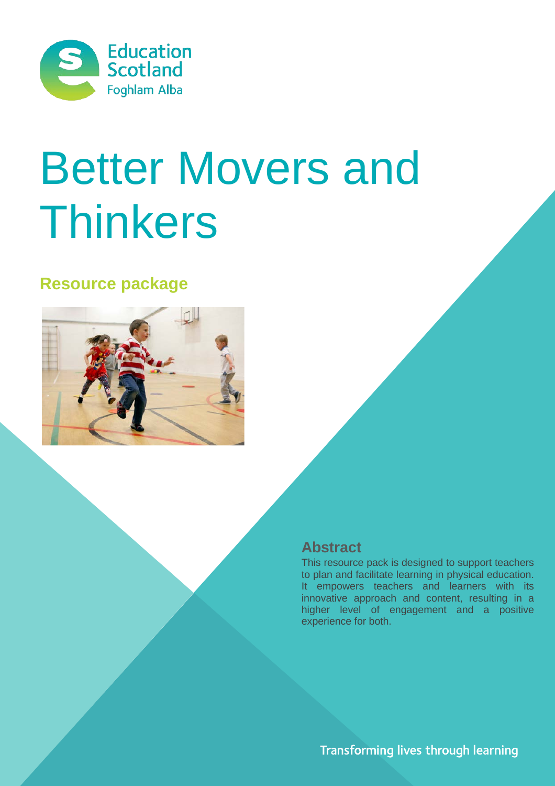

# Better Movers and Thinkers

# **Resource package**



## **Abstract**

This resource pack is designed to support teachers to plan and facilitate learning in physical education. It empowers teachers and learners with its innovative approach and content, resulting in a higher level of engagement and a positive experience for both.

Transforming lives through learning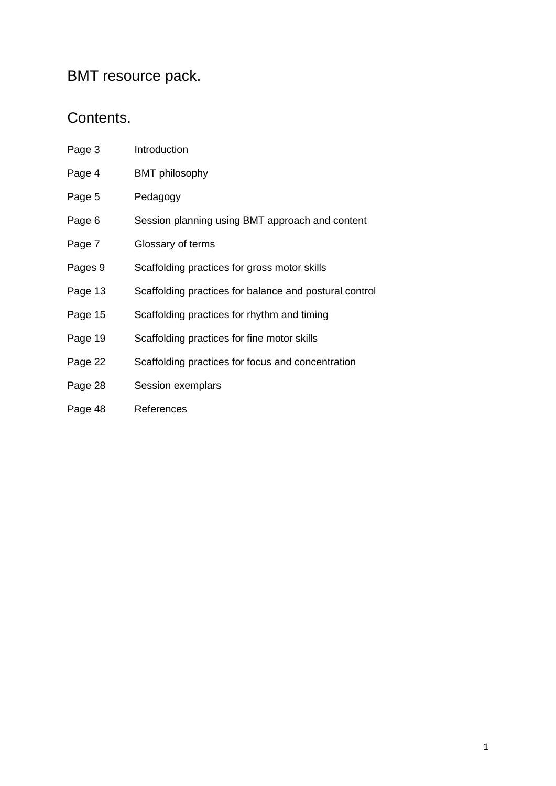## BMT resource pack.

## Contents.

- Page 3 [Introduction](#page-2-0)
- Page 4 [BMT philosophy](#page-3-0)
- Page 5 [Pedagogy](#page-4-0)
- Page 6 Session planning using BMT approach and content
- Page 7 Glossary of terms
- Pages 9 Scaffolding practices for gross motor skills
- Page 13 Scaffolding practices for balance and postural control
- Page 15 Scaffolding practices for rhythm and timing
- Page 19 Scaffolding practices for fine motor skills
- Page 22 Scaffolding practices for focus and concentration
- Page 28 [Session exemplars](#page-29-0)
- Page 48 [References](#page-53-0)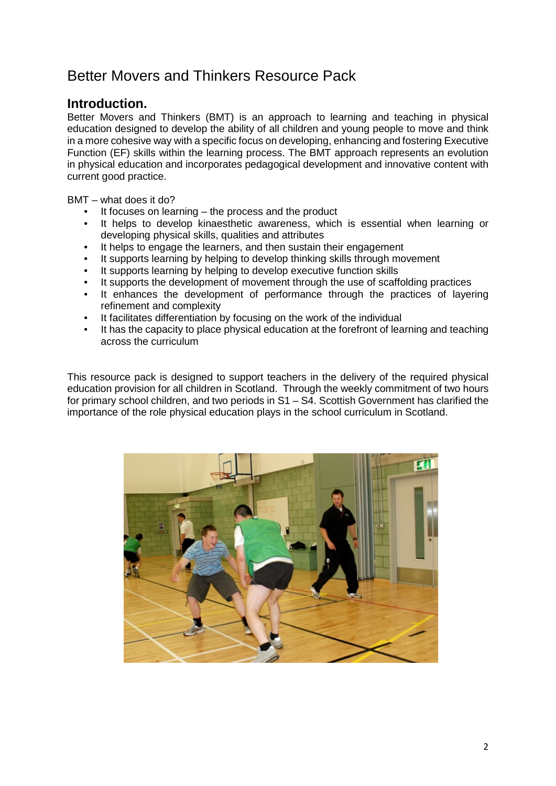# <span id="page-2-0"></span>Better Movers and Thinkers Resource Pack

#### **Introduction.**

Better Movers and Thinkers (BMT) is an approach to learning and teaching in physical education designed to develop the ability of all children and young people to move and think in a more cohesive way with a specific focus on developing, enhancing and fostering Executive Function (EF) skills within the learning process. The BMT approach represents an evolution in physical education and incorporates pedagogical development and innovative content with current good practice.

BMT – what does it do?

- It focuses on learning  $-$  the process and the product
- It helps to develop kinaesthetic awareness, which is essential when learning or developing physical skills, qualities and attributes
- It helps to engage the learners, and then sustain their engagement
- It supports learning by helping to develop thinking skills through movement
- It supports learning by helping to develop executive function skills
- It supports the development of movement through the use of scaffolding practices
- It enhances the development of performance through the practices of layering refinement and complexity
- It facilitates differentiation by focusing on the work of the individual
- It has the capacity to place physical education at the forefront of learning and teaching across the curriculum

This resource pack is designed to support teachers in the delivery of the required physical education provision for all children in Scotland. Through the weekly commitment of two hours for primary school children, and two periods in S1 – S4. Scottish Government has clarified the importance of the role physical education plays in the school curriculum in Scotland.

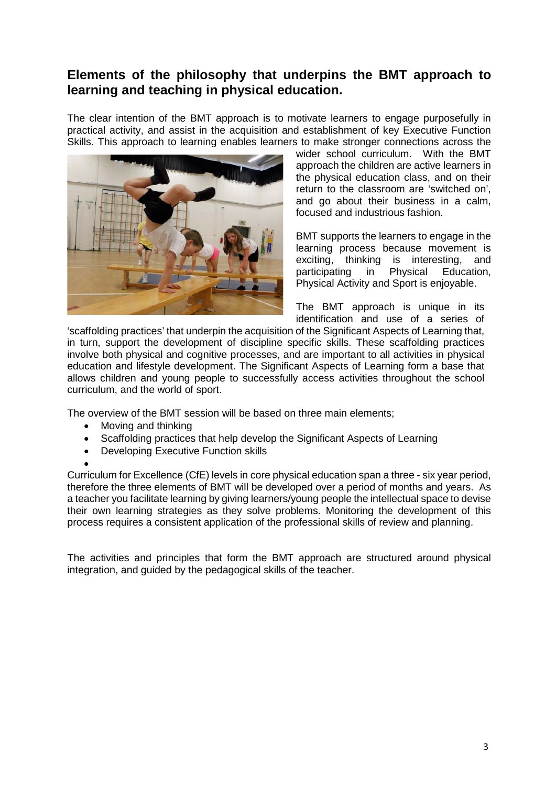## <span id="page-3-0"></span>**Elements of the philosophy that underpins the BMT approach to learning and teaching in physical education.**

The clear intention of the BMT approach is to motivate learners to engage purposefully in practical activity, and assist in the acquisition and establishment of key Executive Function Skills. This approach to learning enables learners to make stronger connections across the



wider school curriculum. With the BMT approach the children are active learners in the physical education class, and on their return to the classroom are 'switched on', and go about their business in a calm, focused and industrious fashion.

BMT supports the learners to engage in the learning process because movement is exciting, thinking is interesting, and<br>participating in Physical Education, participating in Physical Education, Physical Activity and Sport is enjoyable.

The BMT approach is unique in its identification and use of a series of

'scaffolding practices' that underpin the acquisition of the Significant Aspects of Learning that, in turn, support the development of discipline specific skills. These scaffolding practices involve both physical and cognitive processes, and are important to all activities in physical education and lifestyle development. The Significant Aspects of Learning form a base that allows children and young people to successfully access activities throughout the school curriculum, and the world of sport.

The overview of the BMT session will be based on three main elements;

- Moving and thinking
- Scaffolding practices that help develop the Significant Aspects of Learning
- Developing Executive Function skills

•

Curriculum for Excellence (CfE) levels in core physical education span a three - six year period, therefore the three elements of BMT will be developed over a period of months and years. As a teacher you facilitate learning by giving learners/young people the intellectual space to devise their own learning strategies as they solve problems. Monitoring the development of this process requires a consistent application of the professional skills of review and planning.

The activities and principles that form the BMT approach are structured around physical integration, and guided by the pedagogical skills of the teacher.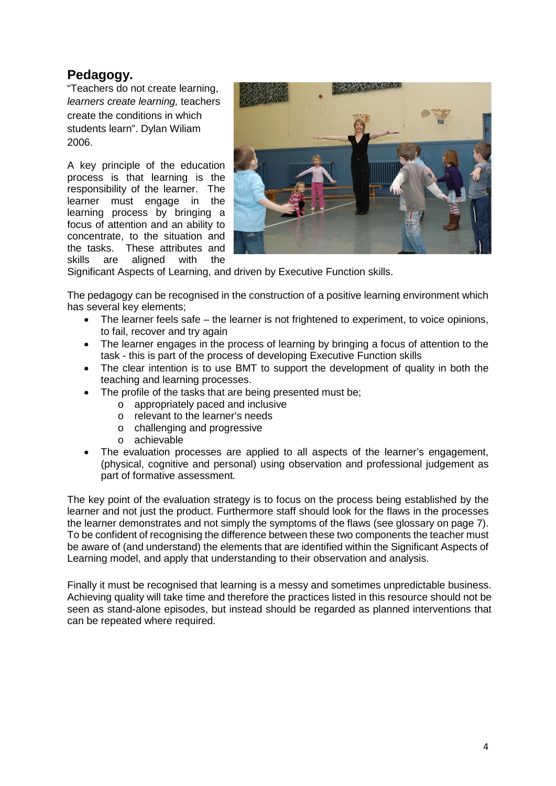## <span id="page-4-0"></span>**Pedagogy.**

"Teachers do not create learning, *learners create learning,* teachers create the conditions in which students learn". Dylan Wiliam 2006.

A key principle of the education process is that learning is the responsibility of the learner. The learner must engage in the learning process by bringing a focus of attention and an ability to concentrate, to the situation and the tasks. These attributes and skills are aligned with the



Significant Aspects of Learning, and driven by Executive Function skills.

The pedagogy can be recognised in the construction of a positive learning environment which has several key elements;

- The learner feels safe the learner is not frightened to experiment, to voice opinions, to fail, recover and try again
- The learner engages in the process of learning by bringing a focus of attention to the task - this is part of the process of developing Executive Function skills
- The clear intention is to use BMT to support the development of quality in both the teaching and learning processes.
- The profile of the tasks that are being presented must be;
	- o appropriately paced and inclusive
	- o relevant to the learner's needs
	- o challenging and progressive
	- o achievable
- The evaluation processes are applied to all aspects of the learner's engagement, (physical, cognitive and personal) using observation and professional judgement as part of formative assessment*.*

The key point of the evaluation strategy is to focus on the process being established by the learner and not just the product. Furthermore staff should look for the flaws in the processes the learner demonstrates and not simply the symptoms of the flaws (see glossary on page 7). To be confident of recognising the difference between these two components the teacher must be aware of (and understand) the elements that are identified within the Significant Aspects of Learning model, and apply that understanding to their observation and analysis.

Finally it must be recognised that learning is a messy and sometimes unpredictable business. Achieving quality will take time and therefore the practices listed in this resource should not be seen as stand-alone episodes, but instead should be regarded as planned interventions that can be repeated where required.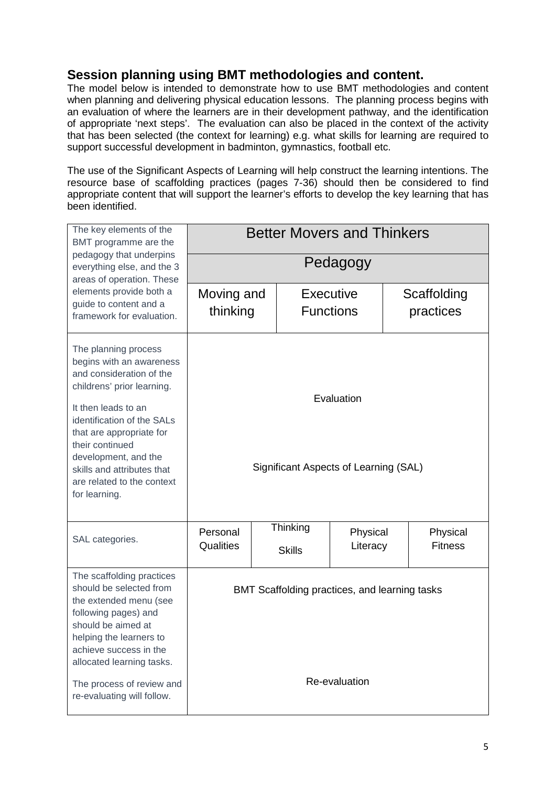## **Session planning using BMT methodologies and content.**

The model below is intended to demonstrate how to use BMT methodologies and content when planning and delivering physical education lessons. The planning process begins with an evaluation of where the learners are in their development pathway, and the identification of appropriate 'next steps'. The evaluation can also be placed in the context of the activity that has been selected (the context for learning) e.g. what skills for learning are required to support successful development in badminton, gymnastics, football etc.

The use of the Significant Aspects of Learning will help construct the learning intentions. The resource base of scaffolding practices (pages 7-36) should then be considered to find appropriate content that will support the learner's efforts to develop the key learning that has been identified.

| The key elements of the<br>BMT programme are the                                                                                                                                                                                                                                                                    | <b>Better Movers and Thinkers</b>                              |  |                                                   |                                                     |  |                            |
|---------------------------------------------------------------------------------------------------------------------------------------------------------------------------------------------------------------------------------------------------------------------------------------------------------------------|----------------------------------------------------------------|--|---------------------------------------------------|-----------------------------------------------------|--|----------------------------|
| pedagogy that underpins<br>everything else, and the 3<br>areas of operation. These                                                                                                                                                                                                                                  | Pedagogy                                                       |  |                                                   |                                                     |  |                            |
| elements provide both a<br>guide to content and a<br>framework for evaluation.                                                                                                                                                                                                                                      | Moving and<br>thinking                                         |  | Executive<br><b>Functions</b>                     |                                                     |  | Scaffolding<br>practices   |
| The planning process<br>begins with an awareness<br>and consideration of the<br>childrens' prior learning.<br>It then leads to an<br>identification of the SALs<br>that are appropriate for<br>their continued<br>development, and the<br>skills and attributes that<br>are related to the context<br>for learning. |                                                                |  |                                                   | Evaluation<br>Significant Aspects of Learning (SAL) |  |                            |
| SAL categories.                                                                                                                                                                                                                                                                                                     | Personal<br>Qualities                                          |  | Thinking<br>Physical<br>Literacy<br><b>Skills</b> |                                                     |  | Physical<br><b>Fitness</b> |
| The scaffolding practices<br>should be selected from<br>the extended menu (see<br>following pages) and<br>should be aimed at<br>helping the learners to<br>achieve success in the<br>allocated learning tasks.<br>The process of review and<br>re-evaluating will follow.                                           | BMT Scaffolding practices, and learning tasks<br>Re-evaluation |  |                                                   |                                                     |  |                            |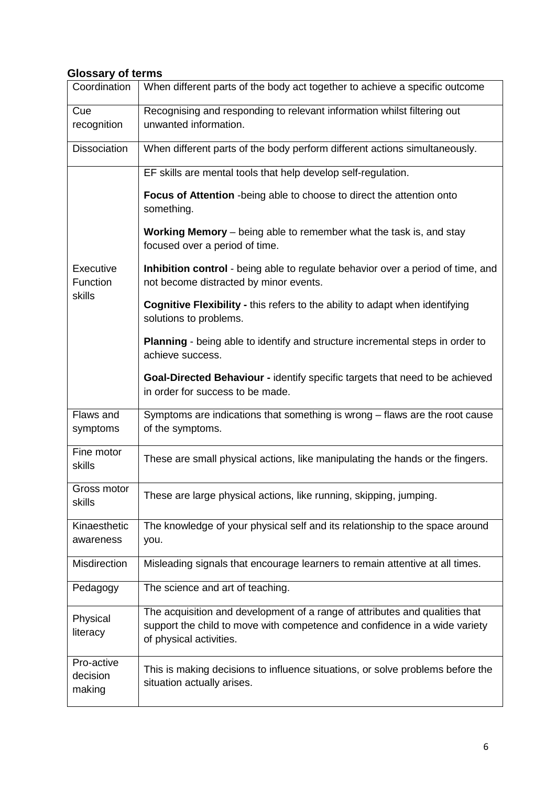#### **Glossary of terms**

| Coordination                     | When different parts of the body act together to achieve a specific outcome                                                                                                          |
|----------------------------------|--------------------------------------------------------------------------------------------------------------------------------------------------------------------------------------|
| Cue<br>recognition               | Recognising and responding to relevant information whilst filtering out<br>unwanted information.                                                                                     |
| <b>Dissociation</b>              | When different parts of the body perform different actions simultaneously.                                                                                                           |
|                                  | EF skills are mental tools that help develop self-regulation.                                                                                                                        |
|                                  | Focus of Attention - being able to choose to direct the attention onto<br>something.                                                                                                 |
|                                  | Working Memory - being able to remember what the task is, and stay<br>focused over a period of time.                                                                                 |
| Executive<br>Function<br>skills  | Inhibition control - being able to regulate behavior over a period of time, and<br>not become distracted by minor events.                                                            |
|                                  | Cognitive Flexibility - this refers to the ability to adapt when identifying<br>solutions to problems.                                                                               |
|                                  | Planning - being able to identify and structure incremental steps in order to<br>achieve success.                                                                                    |
|                                  | Goal-Directed Behaviour - identify specific targets that need to be achieved<br>in order for success to be made.                                                                     |
| Flaws and<br>symptoms            | Symptoms are indications that something is wrong - flaws are the root cause<br>of the symptoms.                                                                                      |
| Fine motor<br>skills             | These are small physical actions, like manipulating the hands or the fingers.                                                                                                        |
| Gross motor<br>skills            | These are large physical actions, like running, skipping, jumping.                                                                                                                   |
| Kinaesthetic<br>awareness        | The knowledge of your physical self and its relationship to the space around<br>you.                                                                                                 |
| Misdirection                     | Misleading signals that encourage learners to remain attentive at all times.                                                                                                         |
| Pedagogy                         | The science and art of teaching.                                                                                                                                                     |
| Physical<br>literacy             | The acquisition and development of a range of attributes and qualities that<br>support the child to move with competence and confidence in a wide variety<br>of physical activities. |
| Pro-active<br>decision<br>making | This is making decisions to influence situations, or solve problems before the<br>situation actually arises.                                                                         |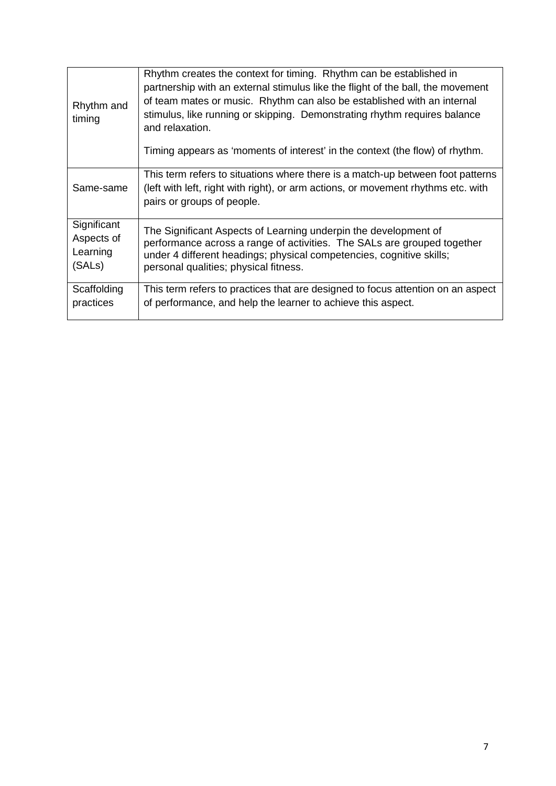| Rhythm and<br>timing | Rhythm creates the context for timing. Rhythm can be established in<br>partnership with an external stimulus like the flight of the ball, the movement<br>of team mates or music. Rhythm can also be established with an internal<br>stimulus, like running or skipping. Demonstrating rhythm requires balance<br>and relaxation.<br>Timing appears as 'moments of interest' in the context (the flow) of rhythm. |
|----------------------|-------------------------------------------------------------------------------------------------------------------------------------------------------------------------------------------------------------------------------------------------------------------------------------------------------------------------------------------------------------------------------------------------------------------|
| Same-same            | This term refers to situations where there is a match-up between foot patterns<br>(left with left, right with right), or arm actions, or movement rhythms etc. with<br>pairs or groups of people.                                                                                                                                                                                                                 |
| Significant          | The Significant Aspects of Learning underpin the development of                                                                                                                                                                                                                                                                                                                                                   |
| Aspects of           | performance across a range of activities. The SALs are grouped together                                                                                                                                                                                                                                                                                                                                           |
| Learning             | under 4 different headings; physical competencies, cognitive skills;                                                                                                                                                                                                                                                                                                                                              |
| (SALs)               | personal qualities; physical fitness.                                                                                                                                                                                                                                                                                                                                                                             |
| Scaffolding          | This term refers to practices that are designed to focus attention on an aspect                                                                                                                                                                                                                                                                                                                                   |
| practices            | of performance, and help the learner to achieve this aspect.                                                                                                                                                                                                                                                                                                                                                      |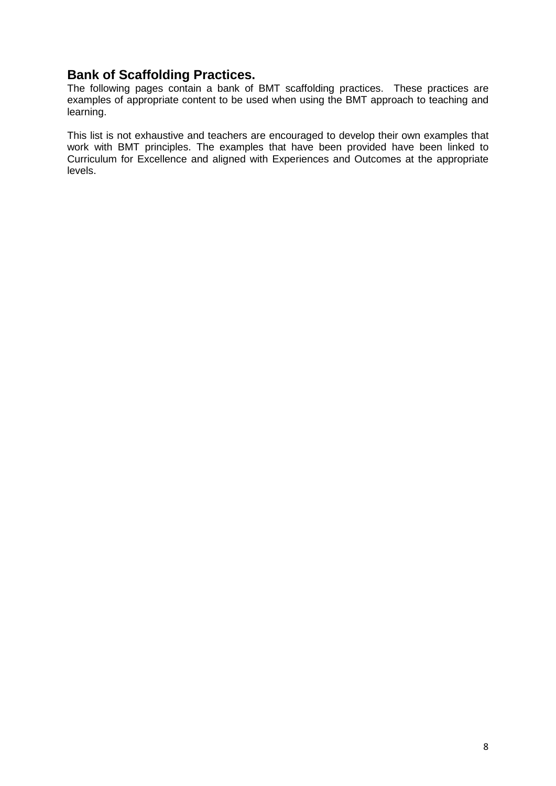#### **Bank of Scaffolding Practices.**

The following pages contain a bank of BMT scaffolding practices. These practices are examples of appropriate content to be used when using the BMT approach to teaching and learning.

This list is not exhaustive and teachers are encouraged to develop their own examples that work with BMT principles. The examples that have been provided have been linked to Curriculum for Excellence and aligned with Experiences and Outcomes at the appropriate levels.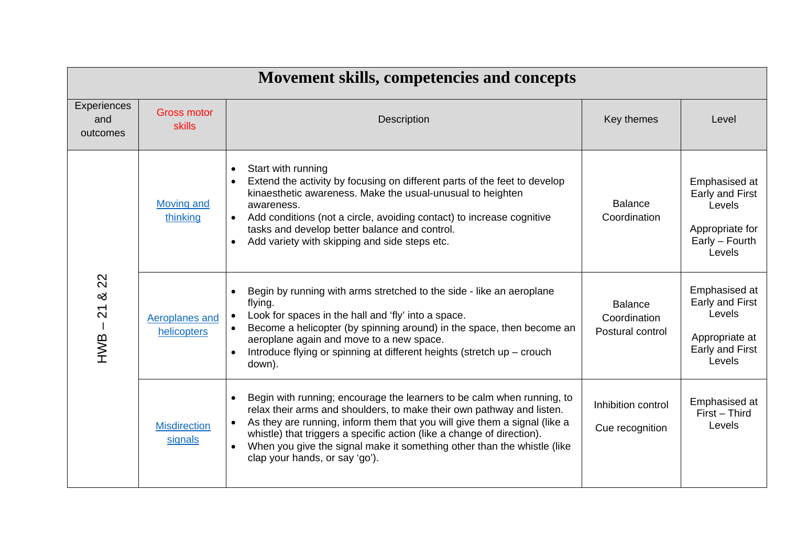|                                | Movement skills, competencies and concepts |                                                                                                                                                                                                                                                                                                                                                                                                                                               |                                                    |                                                                                           |  |  |
|--------------------------------|--------------------------------------------|-----------------------------------------------------------------------------------------------------------------------------------------------------------------------------------------------------------------------------------------------------------------------------------------------------------------------------------------------------------------------------------------------------------------------------------------------|----------------------------------------------------|-------------------------------------------------------------------------------------------|--|--|
| Experiences<br>and<br>outcomes | <b>Gross motor</b><br><b>skills</b>        | <b>Description</b>                                                                                                                                                                                                                                                                                                                                                                                                                            | Key themes                                         | Level                                                                                     |  |  |
| 22<br>య<br>$-21$<br>HWB.       | <b>Moving and</b><br>thinking              | Start with running<br>$\bullet$<br>Extend the activity by focusing on different parts of the feet to develop<br>$\bullet$<br>kinaesthetic awareness. Make the usual-unusual to heighten<br>awareness.<br>Add conditions (not a circle, avoiding contact) to increase cognitive<br>tasks and develop better balance and control.<br>Add variety with skipping and side steps etc.<br>$\bullet$                                                 | <b>Balance</b><br>Coordination                     | Emphasised at<br>Early and First<br>Levels<br>Appropriate for<br>Early - Fourth<br>Levels |  |  |
|                                | Aeroplanes and<br>helicopters              | Begin by running with arms stretched to the side - like an aeroplane<br>flying.<br>Look for spaces in the hall and 'fly' into a space.<br>$\bullet$<br>Become a helicopter (by spinning around) in the space, then become an<br>aeroplane again and move to a new space.<br>Introduce flying or spinning at different heights (stretch up - crouch<br>down).                                                                                  | <b>Balance</b><br>Coordination<br>Postural control | Emphasised at<br>Early and First<br>Levels<br>Appropriate at<br>Early and First<br>Levels |  |  |
|                                | <b>Misdirection</b><br>signals             | Begin with running; encourage the learners to be calm when running, to<br>$\bullet$<br>relax their arms and shoulders, to make their own pathway and listen.<br>As they are running, inform them that you will give them a signal (like a<br>whistle) that triggers a specific action (like a change of direction).<br>When you give the signal make it something other than the whistle (like<br>$\bullet$<br>clap your hands, or say 'go'). | Inhibition control<br>Cue recognition              | Emphasised at<br>First - Third<br>Levels                                                  |  |  |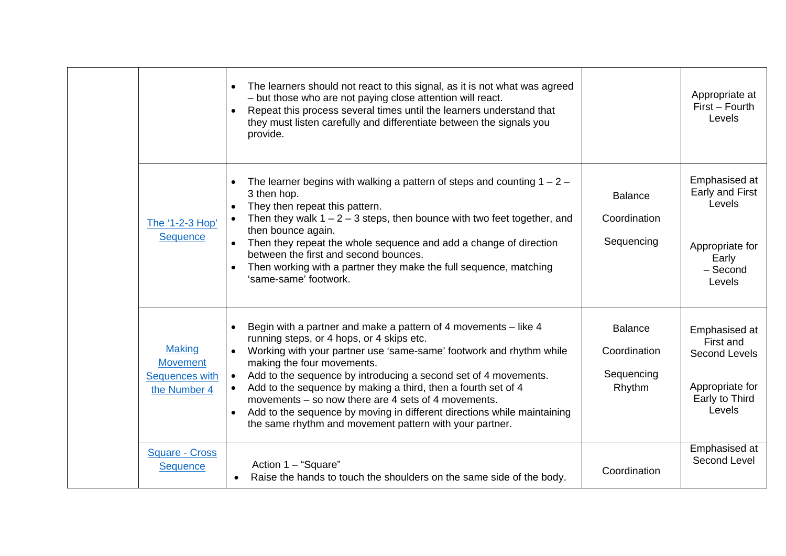|                                                                    | The learners should not react to this signal, as it is not what was agreed<br>$\bullet$<br>- but those who are not paying close attention will react.<br>Repeat this process several times until the learners understand that<br>they must listen carefully and differentiate between the signals you<br>provide.                                                                                                                                                                                                                                                                                      |                                                        | Appropriate at<br>First - Fourth<br>Levels                                                        |
|--------------------------------------------------------------------|--------------------------------------------------------------------------------------------------------------------------------------------------------------------------------------------------------------------------------------------------------------------------------------------------------------------------------------------------------------------------------------------------------------------------------------------------------------------------------------------------------------------------------------------------------------------------------------------------------|--------------------------------------------------------|---------------------------------------------------------------------------------------------------|
| The '1-2-3 Hop'<br><b>Sequence</b>                                 | The learner begins with walking a pattern of steps and counting $1 - 2 -$<br>$\bullet$<br>3 then hop.<br>They then repeat this pattern.<br>$\bullet$<br>Then they walk $1 - 2 - 3$ steps, then bounce with two feet together, and<br>then bounce again.<br>Then they repeat the whole sequence and add a change of direction<br>$\bullet$<br>between the first and second bounces.<br>Then working with a partner they make the full sequence, matching<br>'same-same' footwork.                                                                                                                       | <b>Balance</b><br>Coordination<br>Sequencing           | Emphasised at<br>Early and First<br>Levels<br>Appropriate for<br>Early<br>- Second<br>Levels      |
| <b>Making</b><br><b>Movement</b><br>Sequences with<br>the Number 4 | Begin with a partner and make a pattern of 4 movements - like 4<br>$\bullet$<br>running steps, or 4 hops, or 4 skips etc.<br>Working with your partner use 'same-same' footwork and rhythm while<br>$\bullet$<br>making the four movements.<br>Add to the sequence by introducing a second set of 4 movements.<br>$\bullet$<br>Add to the sequence by making a third, then a fourth set of 4<br>movements – so now there are 4 sets of 4 movements.<br>Add to the sequence by moving in different directions while maintaining<br>$\bullet$<br>the same rhythm and movement pattern with your partner. | <b>Balance</b><br>Coordination<br>Sequencing<br>Rhythm | Emphasised at<br>First and<br><b>Second Levels</b><br>Appropriate for<br>Early to Third<br>Levels |
| <b>Square - Cross</b><br><b>Sequence</b>                           | Action 1 - "Square"<br>Raise the hands to touch the shoulders on the same side of the body.                                                                                                                                                                                                                                                                                                                                                                                                                                                                                                            | Coordination                                           | Emphasised at<br>Second Level                                                                     |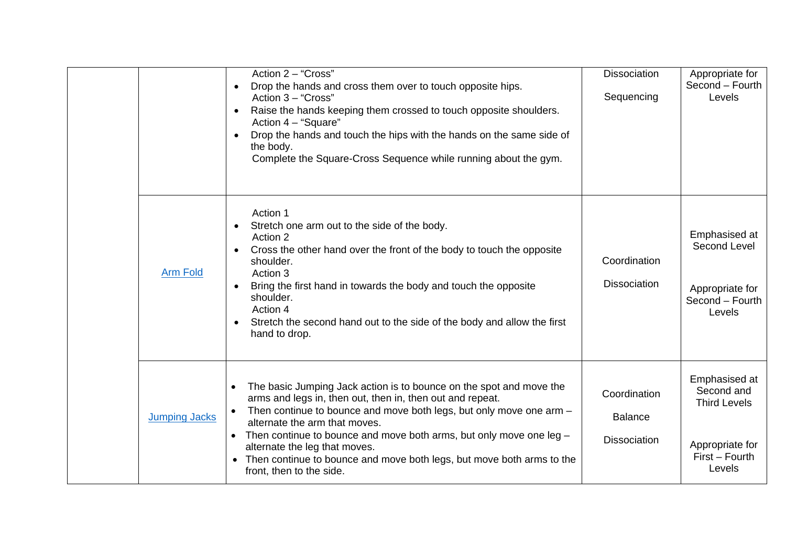|                      | Action 2 - "Cross"<br>Drop the hands and cross them over to touch opposite hips.<br>$\bullet$<br>Action 3 - "Cross"<br>Raise the hands keeping them crossed to touch opposite shoulders.<br>$\bullet$<br>Action 4 - "Square"<br>Drop the hands and touch the hips with the hands on the same side of<br>$\bullet$<br>the body.<br>Complete the Square-Cross Sequence while running about the gym.                                                                                 | <b>Dissociation</b><br>Sequencing                     | Appropriate for<br>Second - Fourth<br>Levels                                                      |
|----------------------|-----------------------------------------------------------------------------------------------------------------------------------------------------------------------------------------------------------------------------------------------------------------------------------------------------------------------------------------------------------------------------------------------------------------------------------------------------------------------------------|-------------------------------------------------------|---------------------------------------------------------------------------------------------------|
| <b>Arm Fold</b>      | Action 1<br>Stretch one arm out to the side of the body.<br>$\bullet$<br>Action 2<br>Cross the other hand over the front of the body to touch the opposite<br>$\bullet$<br>shoulder.<br>Action 3<br>Bring the first hand in towards the body and touch the opposite<br>$\bullet$<br>shoulder.<br>Action 4<br>Stretch the second hand out to the side of the body and allow the first<br>$\bullet$<br>hand to drop.                                                                | Coordination<br><b>Dissociation</b>                   | Emphasised at<br>Second Level<br>Appropriate for<br>Second - Fourth<br>Levels                     |
| <b>Jumping Jacks</b> | The basic Jumping Jack action is to bounce on the spot and move the<br>$\bullet$<br>arms and legs in, then out, then in, then out and repeat.<br>Then continue to bounce and move both legs, but only move one arm -<br>alternate the arm that moves.<br>Then continue to bounce and move both arms, but only move one leg -<br>$\bullet$<br>alternate the leg that moves.<br>• Then continue to bounce and move both legs, but move both arms to the<br>front, then to the side. | Coordination<br><b>Balance</b><br><b>Dissociation</b> | Emphasised at<br>Second and<br><b>Third Levels</b><br>Appropriate for<br>First - Fourth<br>Levels |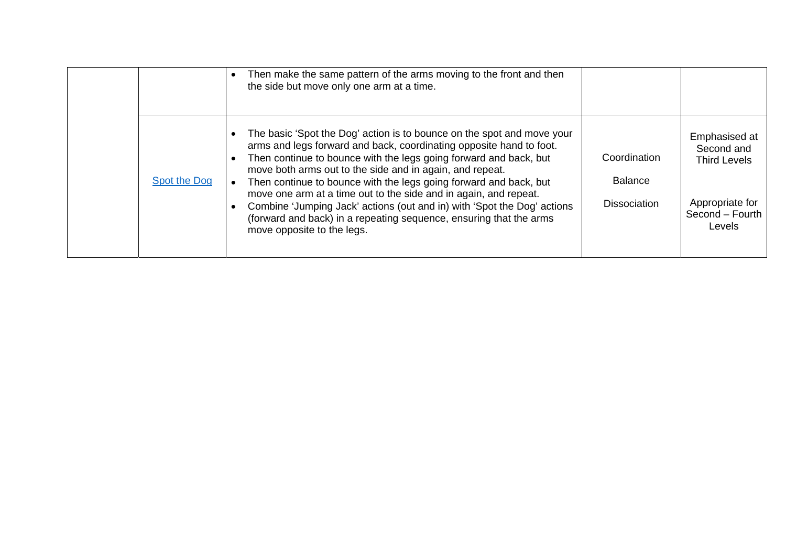|              | Then make the same pattern of the arms moving to the front and then<br>the side but move only one arm at a time.                                                                                                                                                                                                                                                                                                                                                                                                                                                                                       |                                                       |                                                                                                    |
|--------------|--------------------------------------------------------------------------------------------------------------------------------------------------------------------------------------------------------------------------------------------------------------------------------------------------------------------------------------------------------------------------------------------------------------------------------------------------------------------------------------------------------------------------------------------------------------------------------------------------------|-------------------------------------------------------|----------------------------------------------------------------------------------------------------|
| Spot the Dog | The basic 'Spot the Dog' action is to bounce on the spot and move your<br>arms and legs forward and back, coordinating opposite hand to foot.<br>Then continue to bounce with the legs going forward and back, but<br>move both arms out to the side and in again, and repeat.<br>Then continue to bounce with the legs going forward and back, but<br>move one arm at a time out to the side and in again, and repeat.<br>Combine 'Jumping Jack' actions (out and in) with 'Spot the Dog' actions<br>(forward and back) in a repeating sequence, ensuring that the arms<br>move opposite to the legs. | Coordination<br><b>Balance</b><br><b>Dissociation</b> | Emphasised at<br>Second and<br><b>Third Levels</b><br>Appropriate for<br>Second - Fourth<br>Levels |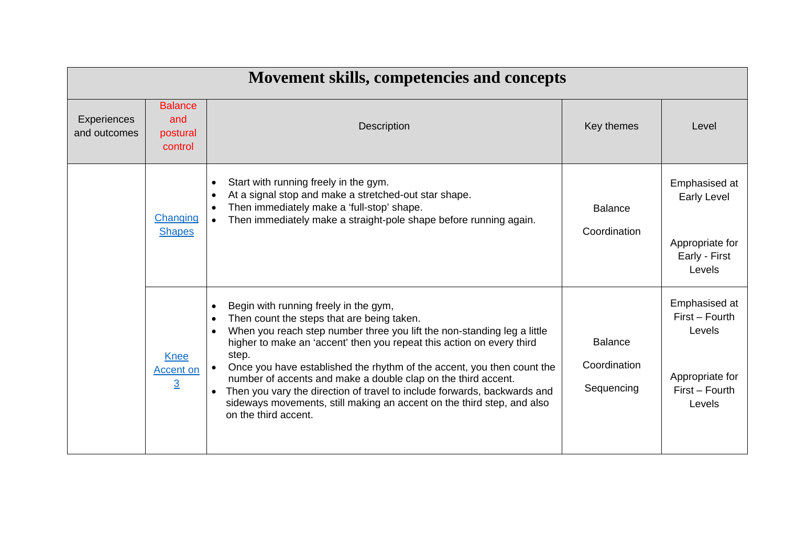|                                    | Movement skills, competencies and concepts        |                                                                                                                                                                                                                                                                                                                                                                                                                                                                                                                                                                                                                  |                                              |                                                                                          |  |  |
|------------------------------------|---------------------------------------------------|------------------------------------------------------------------------------------------------------------------------------------------------------------------------------------------------------------------------------------------------------------------------------------------------------------------------------------------------------------------------------------------------------------------------------------------------------------------------------------------------------------------------------------------------------------------------------------------------------------------|----------------------------------------------|------------------------------------------------------------------------------------------|--|--|
| <b>Experiences</b><br>and outcomes | <b>Balance</b><br>and<br>postural<br>control      | Description                                                                                                                                                                                                                                                                                                                                                                                                                                                                                                                                                                                                      | Key themes                                   | Level                                                                                    |  |  |
|                                    | Changing<br><b>Shapes</b>                         | Start with running freely in the gym.<br>$\bullet$<br>At a signal stop and make a stretched-out star shape.<br>$\bullet$<br>Then immediately make a 'full-stop' shape.<br>Then immediately make a straight-pole shape before running again.<br>$\bullet$                                                                                                                                                                                                                                                                                                                                                         | <b>Balance</b><br>Coordination               | Emphasised at<br>Early Level<br>Appropriate for<br>Early - First<br>Levels               |  |  |
|                                    | <b>Knee</b><br><b>Accent on</b><br>$\overline{3}$ | Begin with running freely in the gym,<br>Then count the steps that are being taken.<br>$\bullet$<br>When you reach step number three you lift the non-standing leg a little<br>higher to make an 'accent' then you repeat this action on every third<br>step.<br>Once you have established the rhythm of the accent, you then count the<br>$\bullet$<br>number of accents and make a double clap on the third accent.<br>Then you vary the direction of travel to include forwards, backwards and<br>$\bullet$<br>sideways movements, still making an accent on the third step, and also<br>on the third accent. | <b>Balance</b><br>Coordination<br>Sequencing | Emphasised at<br>First - Fourth<br>Levels<br>Appropriate for<br>First - Fourth<br>Levels |  |  |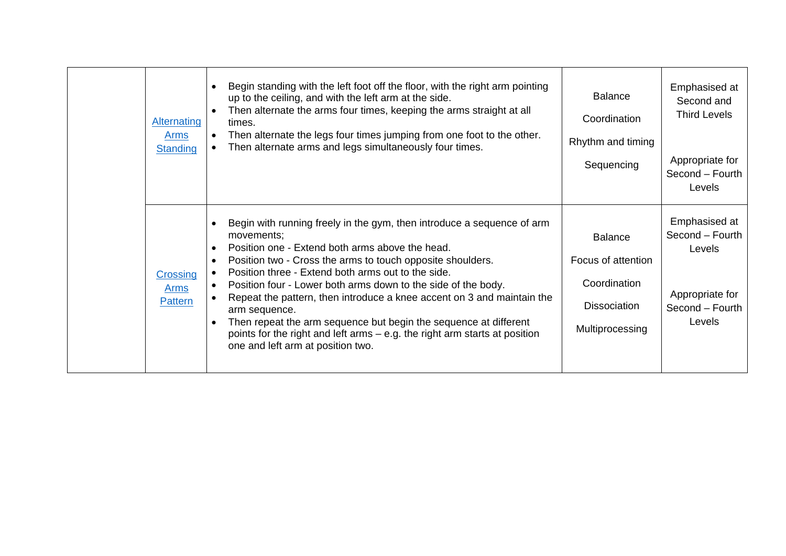| <b>Alternating</b><br><b>Arms</b><br><b>Standing</b> | Begin standing with the left foot off the floor, with the right arm pointing<br>up to the ceiling, and with the left arm at the side.<br>Then alternate the arms four times, keeping the arms straight at all<br>times.<br>Then alternate the legs four times jumping from one foot to the other.<br>Then alternate arms and legs simultaneously four times.                                                                                                                                                                                                                                                   | <b>Balance</b><br>Coordination<br>Rhythm and timing<br>Sequencing                              | Emphasised at<br>Second and<br><b>Third Levels</b><br>Appropriate for<br>Second - Fourth<br>Levels |
|------------------------------------------------------|----------------------------------------------------------------------------------------------------------------------------------------------------------------------------------------------------------------------------------------------------------------------------------------------------------------------------------------------------------------------------------------------------------------------------------------------------------------------------------------------------------------------------------------------------------------------------------------------------------------|------------------------------------------------------------------------------------------------|----------------------------------------------------------------------------------------------------|
| Crossing<br><b>Arms</b><br>Pattern                   | Begin with running freely in the gym, then introduce a sequence of arm<br>movements;<br>Position one - Extend both arms above the head.<br>Position two - Cross the arms to touch opposite shoulders.<br>Position three - Extend both arms out to the side.<br>Position four - Lower both arms down to the side of the body.<br>Repeat the pattern, then introduce a knee accent on 3 and maintain the<br>arm sequence.<br>Then repeat the arm sequence but begin the sequence at different<br>points for the right and left arms – e.g. the right arm starts at position<br>one and left arm at position two. | <b>Balance</b><br>Focus of attention<br>Coordination<br><b>Dissociation</b><br>Multiprocessing | Emphasised at<br>Second - Fourth<br>Levels<br>Appropriate for<br>Second - Fourth<br>Levels         |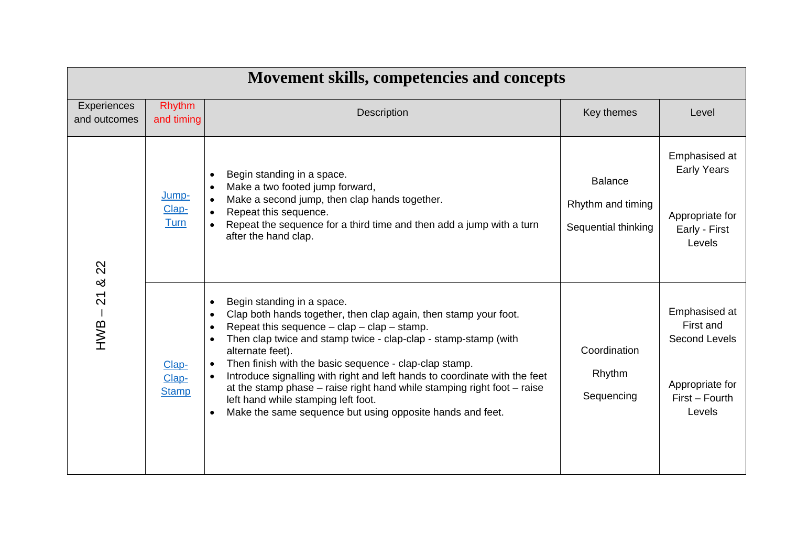|                             | <b>Movement skills, competencies and concepts</b> |                                                                                                                                                                                                                                                                                                                                                                                                                                                                                                                                                                                                              |                                                            |                                                                                            |  |  |
|-----------------------------|---------------------------------------------------|--------------------------------------------------------------------------------------------------------------------------------------------------------------------------------------------------------------------------------------------------------------------------------------------------------------------------------------------------------------------------------------------------------------------------------------------------------------------------------------------------------------------------------------------------------------------------------------------------------------|------------------------------------------------------------|--------------------------------------------------------------------------------------------|--|--|
| Experiences<br>and outcomes | <b>Rhythm</b><br>and timing                       | <b>Description</b>                                                                                                                                                                                                                                                                                                                                                                                                                                                                                                                                                                                           | Key themes                                                 | Level                                                                                      |  |  |
| 22                          | Jump-<br>Clap-<br>Turn                            | Begin standing in a space.<br>Make a two footed jump forward,<br>Make a second jump, then clap hands together.<br>Repeat this sequence.<br>Repeat the sequence for a third time and then add a jump with a turn<br>after the hand clap.                                                                                                                                                                                                                                                                                                                                                                      | <b>Balance</b><br>Rhythm and timing<br>Sequential thinking | Emphasised at<br><b>Early Years</b><br>Appropriate for<br>Early - First<br>Levels          |  |  |
| ≪<br>$-21$                  | Clap-<br>Clap-<br><b>Stamp</b>                    | Begin standing in a space.<br>Clap both hands together, then clap again, then stamp your foot.<br>$\bullet$<br>Repeat this sequence $-$ clap $-$ clap $-$ stamp.<br>Then clap twice and stamp twice - clap-clap - stamp-stamp (with<br>alternate feet).<br>Then finish with the basic sequence - clap-clap stamp.<br>$\bullet$<br>Introduce signalling with right and left hands to coordinate with the feet<br>$\bullet$<br>at the stamp phase $-$ raise right hand while stamping right foot $-$ raise<br>left hand while stamping left foot.<br>Make the same sequence but using opposite hands and feet. | Coordination<br>Rhythm<br>Sequencing                       | Emphasised at<br>First and<br>Second Levels<br>Appropriate for<br>First - Fourth<br>Levels |  |  |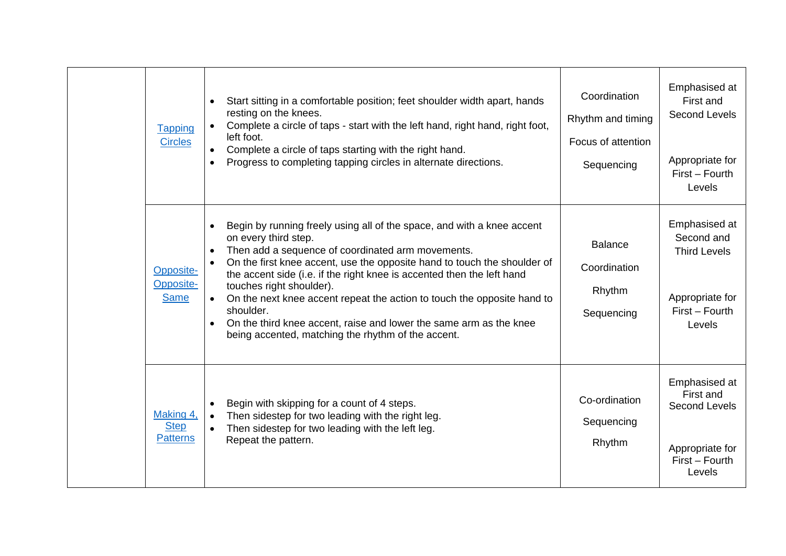| <b>Tapping</b><br><b>Circles</b>            | Start sitting in a comfortable position; feet shoulder width apart, hands<br>resting on the knees.<br>Complete a circle of taps - start with the left hand, right hand, right foot,<br>left foot.<br>Complete a circle of taps starting with the right hand.<br>Progress to completing tapping circles in alternate directions.                                                                                                                                                                                                                                        | Coordination<br>Rhythm and timing<br>Focus of attention<br>Sequencing | Emphasised at<br>First and<br>Second Levels<br>Appropriate for<br>First - Fourth<br>Levels        |
|---------------------------------------------|------------------------------------------------------------------------------------------------------------------------------------------------------------------------------------------------------------------------------------------------------------------------------------------------------------------------------------------------------------------------------------------------------------------------------------------------------------------------------------------------------------------------------------------------------------------------|-----------------------------------------------------------------------|---------------------------------------------------------------------------------------------------|
| Opposite-<br>Opposite-<br><b>Same</b>       | Begin by running freely using all of the space, and with a knee accent<br>on every third step.<br>Then add a sequence of coordinated arm movements.<br>On the first knee accent, use the opposite hand to touch the shoulder of<br>the accent side (i.e. if the right knee is accented then the left hand<br>touches right shoulder).<br>On the next knee accent repeat the action to touch the opposite hand to<br>$\bullet$<br>shoulder.<br>On the third knee accent, raise and lower the same arm as the knee<br>being accented, matching the rhythm of the accent. | <b>Balance</b><br>Coordination<br>Rhythm<br>Sequencing                | Emphasised at<br>Second and<br><b>Third Levels</b><br>Appropriate for<br>First - Fourth<br>Levels |
| Making 4,<br><b>Step</b><br><b>Patterns</b> | Begin with skipping for a count of 4 steps.<br>Then sidestep for two leading with the right leg.<br>Then sidestep for two leading with the left leg.<br>Repeat the pattern.                                                                                                                                                                                                                                                                                                                                                                                            | Co-ordination<br>Sequencing<br>Rhythm                                 | Emphasised at<br>First and<br>Second Levels<br>Appropriate for<br>First - Fourth<br>Levels        |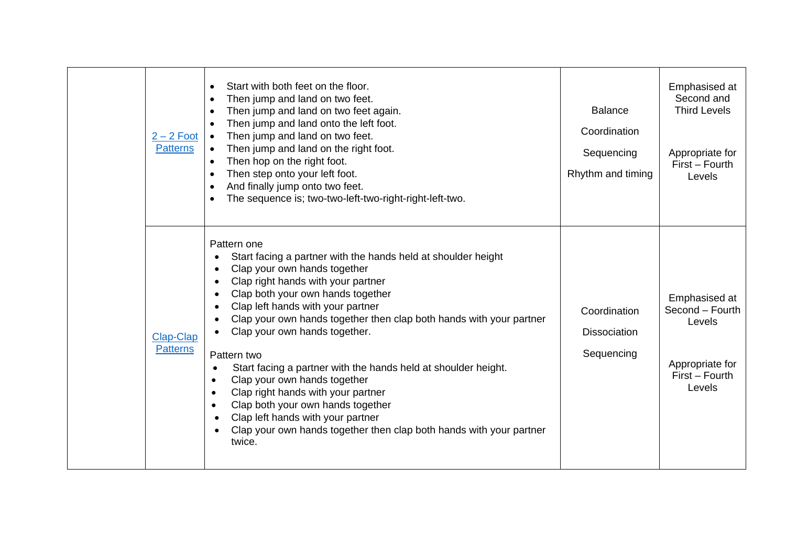| $2 - 2$ Foot<br><b>Patterns</b> | Start with both feet on the floor.<br>$\bullet$<br>Then jump and land on two feet.<br>$\bullet$<br>Then jump and land on two feet again.<br>$\bullet$<br>Then jump and land onto the left foot.<br>Then jump and land on two feet.<br>$\bullet$<br>Then jump and land on the right foot.<br>$\bullet$<br>Then hop on the right foot.<br>$\bullet$<br>Then step onto your left foot.<br>$\bullet$<br>And finally jump onto two feet.<br>$\bullet$<br>The sequence is; two-two-left-two-right-right-left-two.<br>$\bullet$                                                                                                                                                                                                                                                                 | <b>Balance</b><br>Coordination<br>Sequencing<br>Rhythm and timing | Emphasised at<br>Second and<br><b>Third Levels</b><br>Appropriate for<br>First - Fourth<br>Levels |
|---------------------------------|------------------------------------------------------------------------------------------------------------------------------------------------------------------------------------------------------------------------------------------------------------------------------------------------------------------------------------------------------------------------------------------------------------------------------------------------------------------------------------------------------------------------------------------------------------------------------------------------------------------------------------------------------------------------------------------------------------------------------------------------------------------------------------------|-------------------------------------------------------------------|---------------------------------------------------------------------------------------------------|
| Clap-Clap<br><b>Patterns</b>    | Pattern one<br>Start facing a partner with the hands held at shoulder height<br>$\bullet$<br>Clap your own hands together<br>$\bullet$<br>Clap right hands with your partner<br>$\bullet$<br>Clap both your own hands together<br>$\bullet$<br>Clap left hands with your partner<br>$\bullet$<br>Clap your own hands together then clap both hands with your partner<br>Clap your own hands together.<br>Pattern two<br>Start facing a partner with the hands held at shoulder height.<br>$\bullet$<br>Clap your own hands together<br>$\bullet$<br>Clap right hands with your partner<br>$\bullet$<br>Clap both your own hands together<br>Clap left hands with your partner<br>$\bullet$<br>Clap your own hands together then clap both hands with your partner<br>$\bullet$<br>twice. | Coordination<br><b>Dissociation</b><br>Sequencing                 | Emphasised at<br>Second - Fourth<br>Levels<br>Appropriate for<br>First - Fourth<br>Levels         |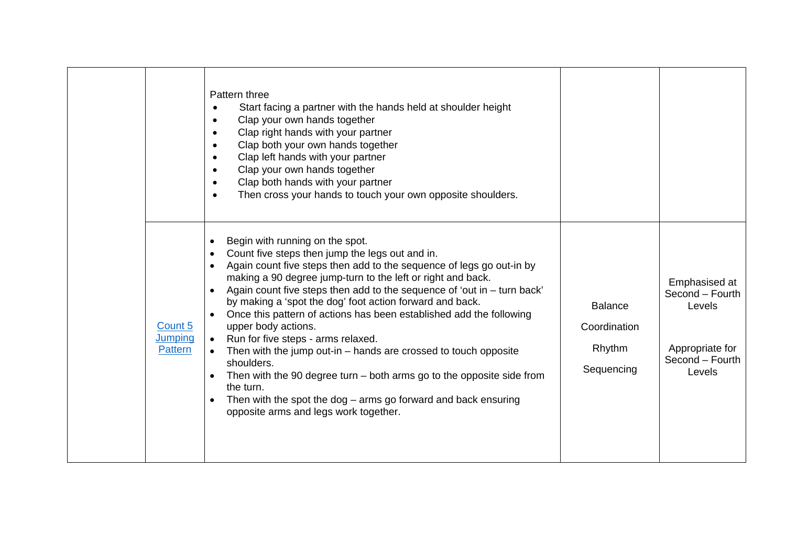|                                      | Pattern three<br>Start facing a partner with the hands held at shoulder height<br>$\bullet$<br>Clap your own hands together<br>$\bullet$<br>Clap right hands with your partner<br>$\bullet$<br>Clap both your own hands together<br>$\bullet$<br>Clap left hands with your partner<br>$\bullet$<br>Clap your own hands together<br>$\bullet$<br>Clap both hands with your partner<br>$\bullet$<br>Then cross your hands to touch your own opposite shoulders.<br>$\bullet$                                                                                                                                                                                                                                                                                                                                                        |                                                        |                                                                                            |
|--------------------------------------|-----------------------------------------------------------------------------------------------------------------------------------------------------------------------------------------------------------------------------------------------------------------------------------------------------------------------------------------------------------------------------------------------------------------------------------------------------------------------------------------------------------------------------------------------------------------------------------------------------------------------------------------------------------------------------------------------------------------------------------------------------------------------------------------------------------------------------------|--------------------------------------------------------|--------------------------------------------------------------------------------------------|
| Count 5<br><b>Jumping</b><br>Pattern | Begin with running on the spot.<br>$\bullet$<br>Count five steps then jump the legs out and in.<br>$\bullet$<br>Again count five steps then add to the sequence of legs go out-in by<br>making a 90 degree jump-turn to the left or right and back.<br>Again count five steps then add to the sequence of 'out in - turn back'<br>$\bullet$<br>by making a 'spot the dog' foot action forward and back.<br>Once this pattern of actions has been established add the following<br>upper body actions.<br>Run for five steps - arms relaxed.<br>Then with the jump out-in – hands are crossed to touch opposite<br>shoulders.<br>Then with the 90 degree turn $-$ both arms go to the opposite side from<br>the turn.<br>Then with the spot the dog $-$ arms go forward and back ensuring<br>opposite arms and legs work together. | <b>Balance</b><br>Coordination<br>Rhythm<br>Sequencing | Emphasised at<br>Second - Fourth<br>Levels<br>Appropriate for<br>Second - Fourth<br>Levels |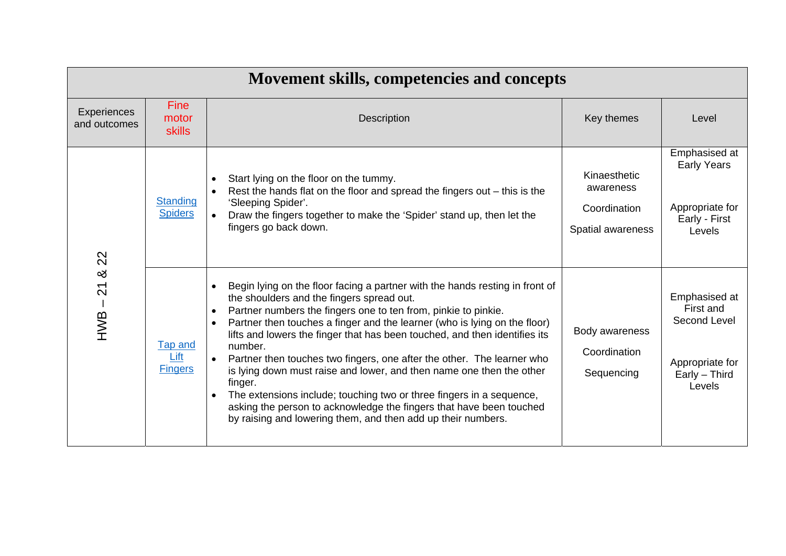| Movement skills, competencies and concepts |                                   |                                                                                                                                                                                                                                                                                                                                                                                                                                                                                                                                                                                                                                                                                                                                                                         |                                                                |                                                                                          |  |  |
|--------------------------------------------|-----------------------------------|-------------------------------------------------------------------------------------------------------------------------------------------------------------------------------------------------------------------------------------------------------------------------------------------------------------------------------------------------------------------------------------------------------------------------------------------------------------------------------------------------------------------------------------------------------------------------------------------------------------------------------------------------------------------------------------------------------------------------------------------------------------------------|----------------------------------------------------------------|------------------------------------------------------------------------------------------|--|--|
| <b>Experiences</b><br>and outcomes         | Fine<br>motor<br><b>skills</b>    | <b>Description</b>                                                                                                                                                                                                                                                                                                                                                                                                                                                                                                                                                                                                                                                                                                                                                      | Key themes                                                     | Level                                                                                    |  |  |
| 22                                         | <b>Standing</b><br><b>Spiders</b> | Start lying on the floor on the tummy.<br>Rest the hands flat on the floor and spread the fingers out $-$ this is the<br>'Sleeping Spider'.<br>Draw the fingers together to make the 'Spider' stand up, then let the<br>$\bullet$<br>fingers go back down.                                                                                                                                                                                                                                                                                                                                                                                                                                                                                                              | Kinaesthetic<br>awareness<br>Coordination<br>Spatial awareness | Emphasised at<br><b>Early Years</b><br>Appropriate for<br>Early - First<br>Levels        |  |  |
| య<br>$\overline{2}$<br>$-WB -$             | Tap and<br>Lift<br><b>Fingers</b> | Begin lying on the floor facing a partner with the hands resting in front of<br>the shoulders and the fingers spread out.<br>Partner numbers the fingers one to ten from, pinkie to pinkie.<br>Partner then touches a finger and the learner (who is lying on the floor)<br>$\bullet$<br>lifts and lowers the finger that has been touched, and then identifies its<br>number.<br>Partner then touches two fingers, one after the other. The learner who<br>$\bullet$<br>is lying down must raise and lower, and then name one then the other<br>finger.<br>The extensions include; touching two or three fingers in a sequence,<br>asking the person to acknowledge the fingers that have been touched<br>by raising and lowering them, and then add up their numbers. | Body awareness<br>Coordination<br>Sequencing                   | Emphasised at<br>First and<br>Second Level<br>Appropriate for<br>Early - Third<br>Levels |  |  |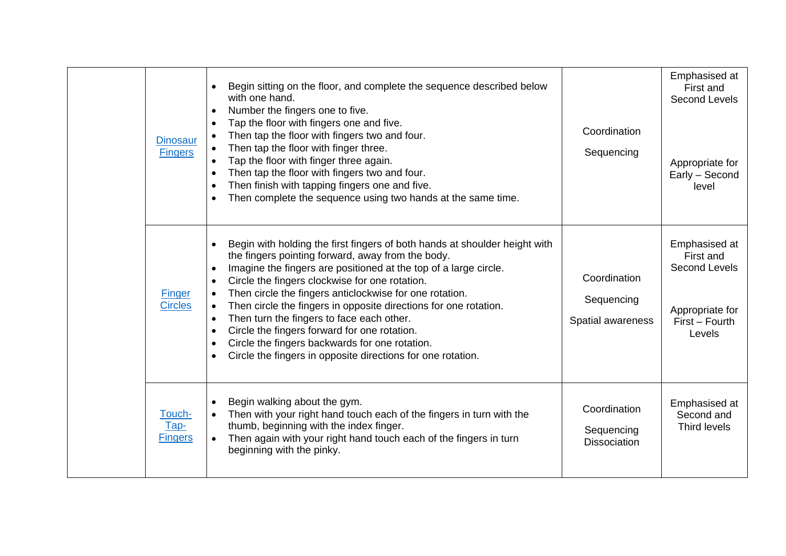| <b>Dinosaur</b><br><b>Fingers</b> | Begin sitting on the floor, and complete the sequence described below<br>with one hand.<br>Number the fingers one to five.<br>Tap the floor with fingers one and five.<br>Then tap the floor with fingers two and four.<br>Then tap the floor with finger three.<br>Tap the floor with finger three again.<br>Then tap the floor with fingers two and four.<br>Then finish with tapping fingers one and five.<br>Then complete the sequence using two hands at the same time.                                                                                                                                                | Coordination<br>Sequencing                        | Emphasised at<br>First and<br>Second Levels<br>Appropriate for<br>Early - Second<br>level         |
|-----------------------------------|------------------------------------------------------------------------------------------------------------------------------------------------------------------------------------------------------------------------------------------------------------------------------------------------------------------------------------------------------------------------------------------------------------------------------------------------------------------------------------------------------------------------------------------------------------------------------------------------------------------------------|---------------------------------------------------|---------------------------------------------------------------------------------------------------|
| Finger<br><b>Circles</b>          | Begin with holding the first fingers of both hands at shoulder height with<br>the fingers pointing forward, away from the body.<br>Imagine the fingers are positioned at the top of a large circle.<br>Circle the fingers clockwise for one rotation.<br>Then circle the fingers anticlockwise for one rotation.<br>Then circle the fingers in opposite directions for one rotation.<br>$\bullet$<br>Then turn the fingers to face each other.<br>$\bullet$<br>Circle the fingers forward for one rotation.<br>Circle the fingers backwards for one rotation.<br>Circle the fingers in opposite directions for one rotation. | Coordination<br>Sequencing<br>Spatial awareness   | Emphasised at<br>First and<br><b>Second Levels</b><br>Appropriate for<br>First - Fourth<br>Levels |
| Touch-<br>Tap-<br><b>Fingers</b>  | Begin walking about the gym.<br>Then with your right hand touch each of the fingers in turn with the<br>thumb, beginning with the index finger.<br>Then again with your right hand touch each of the fingers in turn<br>$\bullet$<br>beginning with the pinky.                                                                                                                                                                                                                                                                                                                                                               | Coordination<br>Sequencing<br><b>Dissociation</b> | Emphasised at<br>Second and<br>Third levels                                                       |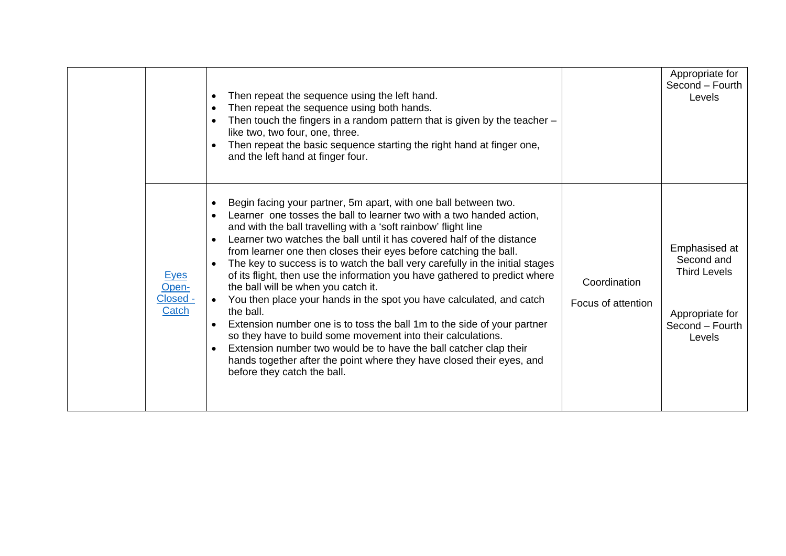|                                           | Then repeat the sequence using the left hand.<br>$\bullet$<br>Then repeat the sequence using both hands.<br>$\bullet$<br>Then touch the fingers in a random pattern that is given by the teacher $-$<br>like two, two four, one, three.<br>Then repeat the basic sequence starting the right hand at finger one,<br>and the left hand at finger four.                                                                                                                                                                                                                                                                                                                                                                                                                                                                                                                                                                                                                                   |                                    | Appropriate for<br>Second - Fourth<br>Levels                                                       |
|-------------------------------------------|-----------------------------------------------------------------------------------------------------------------------------------------------------------------------------------------------------------------------------------------------------------------------------------------------------------------------------------------------------------------------------------------------------------------------------------------------------------------------------------------------------------------------------------------------------------------------------------------------------------------------------------------------------------------------------------------------------------------------------------------------------------------------------------------------------------------------------------------------------------------------------------------------------------------------------------------------------------------------------------------|------------------------------------|----------------------------------------------------------------------------------------------------|
| <b>Eyes</b><br>Open-<br>Closed -<br>Catch | Begin facing your partner, 5m apart, with one ball between two.<br>Learner one tosses the ball to learner two with a two handed action,<br>and with the ball travelling with a 'soft rainbow' flight line<br>Learner two watches the ball until it has covered half of the distance<br>$\bullet$<br>from learner one then closes their eyes before catching the ball.<br>The key to success is to watch the ball very carefully in the initial stages<br>of its flight, then use the information you have gathered to predict where<br>the ball will be when you catch it.<br>You then place your hands in the spot you have calculated, and catch<br>the ball.<br>Extension number one is to toss the ball 1m to the side of your partner<br>so they have to build some movement into their calculations.<br>Extension number two would be to have the ball catcher clap their<br>hands together after the point where they have closed their eyes, and<br>before they catch the ball. | Coordination<br>Focus of attention | Emphasised at<br>Second and<br><b>Third Levels</b><br>Appropriate for<br>Second - Fourth<br>Levels |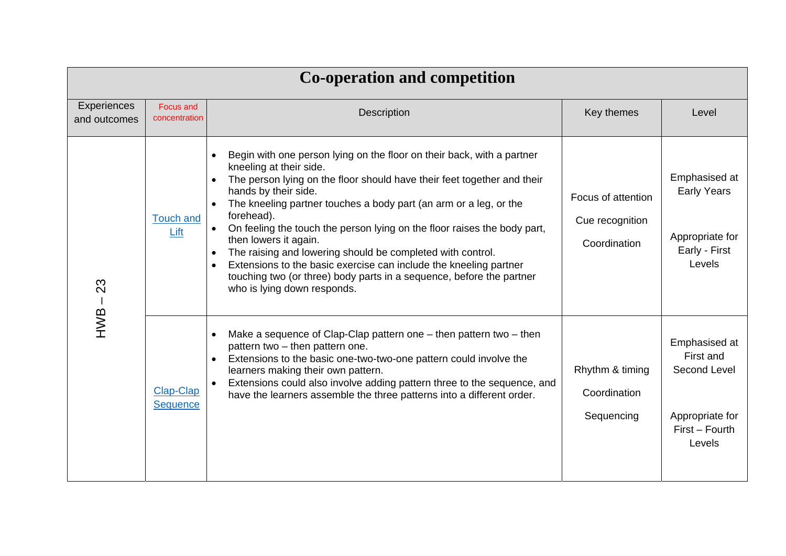| <b>Co-operation and competition</b> |                                     |                                                                                                                                                                                                                                                                                                                                                                                                                                                                                                                                                                                                                                        |                                                       |                                                                                           |  |
|-------------------------------------|-------------------------------------|----------------------------------------------------------------------------------------------------------------------------------------------------------------------------------------------------------------------------------------------------------------------------------------------------------------------------------------------------------------------------------------------------------------------------------------------------------------------------------------------------------------------------------------------------------------------------------------------------------------------------------------|-------------------------------------------------------|-------------------------------------------------------------------------------------------|--|
| Experiences<br>and outcomes         | Focus and<br>concentration          | <b>Description</b>                                                                                                                                                                                                                                                                                                                                                                                                                                                                                                                                                                                                                     | Key themes                                            | Level                                                                                     |  |
| 23                                  | <b>Touch and</b><br>Lift            | Begin with one person lying on the floor on their back, with a partner<br>kneeling at their side.<br>The person lying on the floor should have their feet together and their<br>hands by their side.<br>The kneeling partner touches a body part (an arm or a leg, or the<br>forehead).<br>On feeling the touch the person lying on the floor raises the body part,<br>then lowers it again.<br>The raising and lowering should be completed with control.<br>Extensions to the basic exercise can include the kneeling partner<br>touching two (or three) body parts in a sequence, before the partner<br>who is lying down responds. | Focus of attention<br>Cue recognition<br>Coordination | Emphasised at<br><b>Early Years</b><br>Appropriate for<br>Early - First<br>Levels         |  |
| HWB                                 | <b>Clap-Clap</b><br><b>Sequence</b> | Make a sequence of Clap-Clap pattern one $-$ then pattern two $-$ then<br>$\bullet$<br>pattern two - then pattern one.<br>Extensions to the basic one-two-two-one pattern could involve the<br>learners making their own pattern.<br>Extensions could also involve adding pattern three to the sequence, and<br>$\bullet$<br>have the learners assemble the three patterns into a different order.                                                                                                                                                                                                                                     | Rhythm & timing<br>Coordination<br>Sequencing         | Emphasised at<br>First and<br>Second Level<br>Appropriate for<br>First - Fourth<br>Levels |  |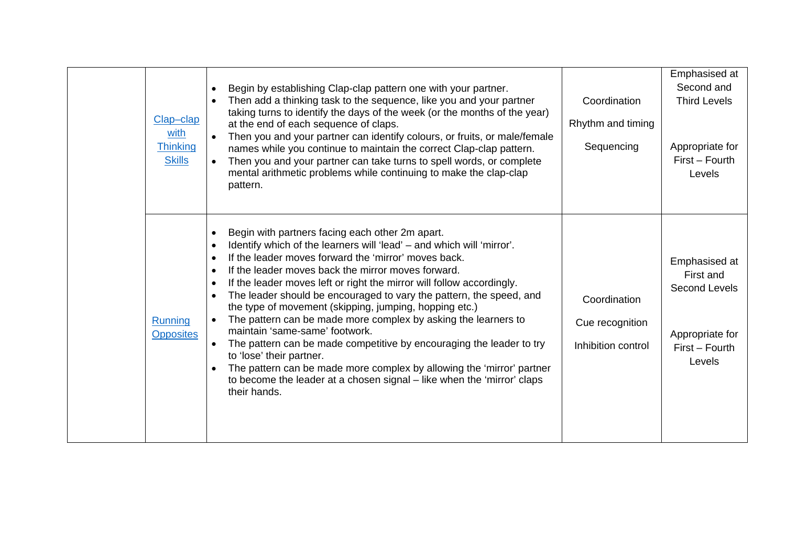| Clap-clap<br>with<br><b>Thinking</b><br><b>Skills</b> | Begin by establishing Clap-clap pattern one with your partner.<br>$\bullet$<br>Then add a thinking task to the sequence, like you and your partner<br>taking turns to identify the days of the week (or the months of the year)<br>at the end of each sequence of claps.<br>Then you and your partner can identify colours, or fruits, or male/female<br>names while you continue to maintain the correct Clap-clap pattern.<br>Then you and your partner can take turns to spell words, or complete<br>mental arithmetic problems while continuing to make the clap-clap<br>pattern.                                                                                                                                                                                                                                                                 | Coordination<br>Rhythm and timing<br>Sequencing       | Emphasised at<br>Second and<br><b>Third Levels</b><br>Appropriate for<br>First - Fourth<br>Levels |
|-------------------------------------------------------|-------------------------------------------------------------------------------------------------------------------------------------------------------------------------------------------------------------------------------------------------------------------------------------------------------------------------------------------------------------------------------------------------------------------------------------------------------------------------------------------------------------------------------------------------------------------------------------------------------------------------------------------------------------------------------------------------------------------------------------------------------------------------------------------------------------------------------------------------------|-------------------------------------------------------|---------------------------------------------------------------------------------------------------|
| Running<br><b>Opposites</b>                           | Begin with partners facing each other 2m apart.<br>Identify which of the learners will 'lead' - and which will 'mirror'.<br>If the leader moves forward the 'mirror' moves back.<br>If the leader moves back the mirror moves forward.<br>$\bullet$<br>If the leader moves left or right the mirror will follow accordingly.<br>The leader should be encouraged to vary the pattern, the speed, and<br>the type of movement (skipping, jumping, hopping etc.)<br>The pattern can be made more complex by asking the learners to<br>$\bullet$<br>maintain 'same-same' footwork.<br>The pattern can be made competitive by encouraging the leader to try<br>to 'lose' their partner.<br>The pattern can be made more complex by allowing the 'mirror' partner<br>to become the leader at a chosen signal - like when the 'mirror' claps<br>their hands. | Coordination<br>Cue recognition<br>Inhibition control | Emphasised at<br>First and<br><b>Second Levels</b><br>Appropriate for<br>First - Fourth<br>Levels |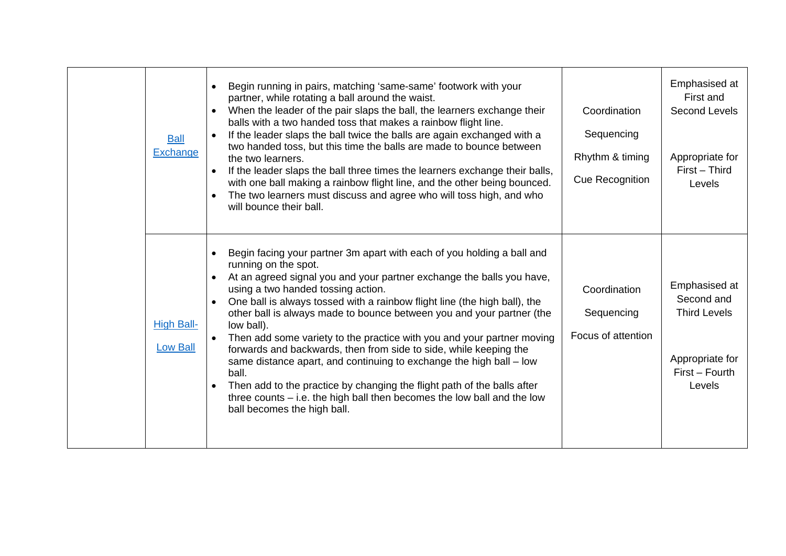| <b>Ball</b><br>Exchange              | Begin running in pairs, matching 'same-same' footwork with your<br>partner, while rotating a ball around the waist.<br>When the leader of the pair slaps the ball, the learners exchange their<br>balls with a two handed toss that makes a rainbow flight line.<br>If the leader slaps the ball twice the balls are again exchanged with a<br>two handed toss, but this time the balls are made to bounce between<br>the two learners.<br>If the leader slaps the ball three times the learners exchange their balls,<br>$\bullet$<br>with one ball making a rainbow flight line, and the other being bounced.<br>The two learners must discuss and agree who will toss high, and who<br>$\bullet$<br>will bounce their ball.                                                                                       | Coordination<br>Sequencing<br>Rhythm & timing<br>Cue Recognition | Emphasised at<br>First and<br>Second Levels<br>Appropriate for<br>First - Third<br>Levels         |
|--------------------------------------|----------------------------------------------------------------------------------------------------------------------------------------------------------------------------------------------------------------------------------------------------------------------------------------------------------------------------------------------------------------------------------------------------------------------------------------------------------------------------------------------------------------------------------------------------------------------------------------------------------------------------------------------------------------------------------------------------------------------------------------------------------------------------------------------------------------------|------------------------------------------------------------------|---------------------------------------------------------------------------------------------------|
| <b>High Ball-</b><br><b>Low Ball</b> | Begin facing your partner 3m apart with each of you holding a ball and<br>running on the spot.<br>At an agreed signal you and your partner exchange the balls you have,<br>$\bullet$<br>using a two handed tossing action.<br>One ball is always tossed with a rainbow flight line (the high ball), the<br>other ball is always made to bounce between you and your partner (the<br>low ball).<br>Then add some variety to the practice with you and your partner moving<br>forwards and backwards, then from side to side, while keeping the<br>same distance apart, and continuing to exchange the high ball - low<br>ball.<br>Then add to the practice by changing the flight path of the balls after<br>three counts $-$ i.e. the high ball then becomes the low ball and the low<br>ball becomes the high ball. | Coordination<br>Sequencing<br>Focus of attention                 | Emphasised at<br>Second and<br><b>Third Levels</b><br>Appropriate for<br>First - Fourth<br>Levels |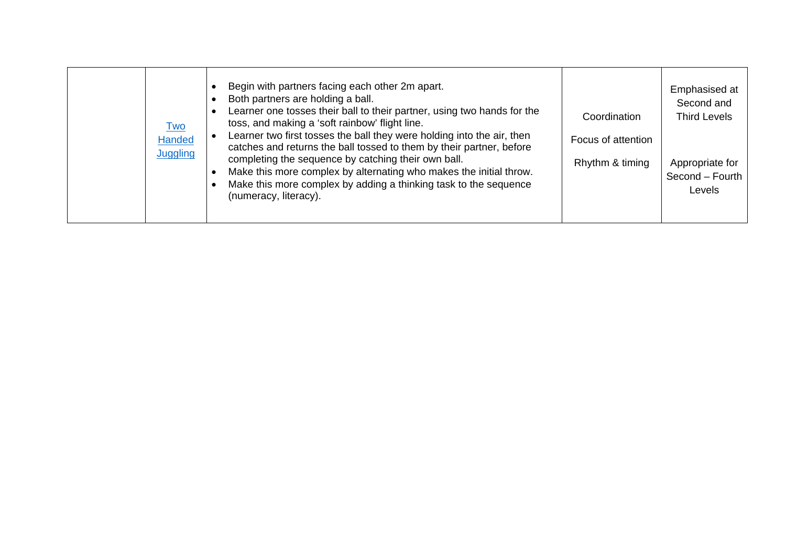|  | <u>Two</u><br><b>Handed</b><br>Juggling | Begin with partners facing each other 2m apart.<br>Both partners are holding a ball.<br>Learner one tosses their ball to their partner, using two hands for the<br>toss, and making a 'soft rainbow' flight line.<br>Learner two first tosses the ball they were holding into the air, then<br>catches and returns the ball tossed to them by their partner, before<br>completing the sequence by catching their own ball.<br>Make this more complex by alternating who makes the initial throw.<br>Make this more complex by adding a thinking task to the sequence<br>(numeracy, literacy). | Coordination<br>Focus of attention<br>Rhythm & timing | Emphasised at<br>Second and<br><b>Third Levels</b><br>Appropriate for<br>Second - Fourth<br>Levels |
|--|-----------------------------------------|-----------------------------------------------------------------------------------------------------------------------------------------------------------------------------------------------------------------------------------------------------------------------------------------------------------------------------------------------------------------------------------------------------------------------------------------------------------------------------------------------------------------------------------------------------------------------------------------------|-------------------------------------------------------|----------------------------------------------------------------------------------------------------|
|--|-----------------------------------------|-----------------------------------------------------------------------------------------------------------------------------------------------------------------------------------------------------------------------------------------------------------------------------------------------------------------------------------------------------------------------------------------------------------------------------------------------------------------------------------------------------------------------------------------------------------------------------------------------|-------------------------------------------------------|----------------------------------------------------------------------------------------------------|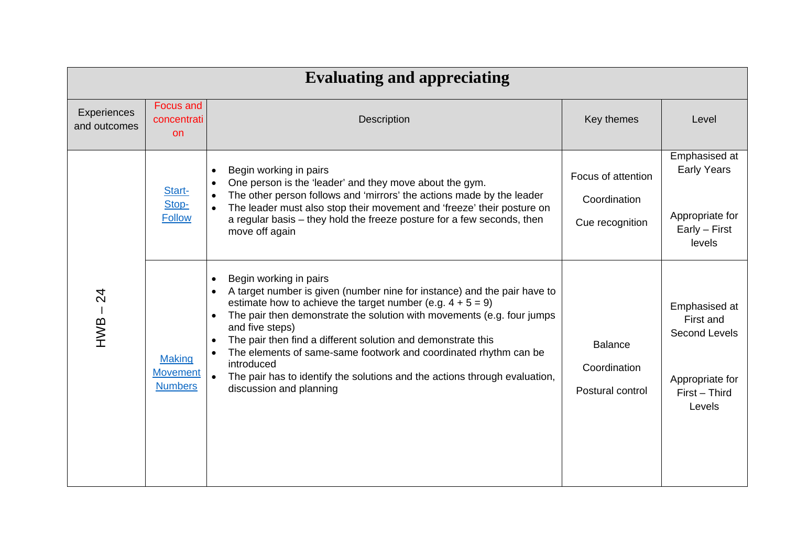| <b>Evaluating and appreciating</b> |                                                    |                                                                                                                                                                                                                                                                                                                                                                                                                                                                                                                                                       |                                                       |                                                                                           |  |
|------------------------------------|----------------------------------------------------|-------------------------------------------------------------------------------------------------------------------------------------------------------------------------------------------------------------------------------------------------------------------------------------------------------------------------------------------------------------------------------------------------------------------------------------------------------------------------------------------------------------------------------------------------------|-------------------------------------------------------|-------------------------------------------------------------------------------------------|--|
| Experiences<br>and outcomes        | Focus and<br>concentrati<br><b>on</b>              | Description                                                                                                                                                                                                                                                                                                                                                                                                                                                                                                                                           | Key themes                                            | Level                                                                                     |  |
|                                    | Start-<br>Stop-<br><b>Follow</b>                   | Begin working in pairs<br>One person is the 'leader' and they move about the gym.<br>The other person follows and 'mirrors' the actions made by the leader<br>The leader must also stop their movement and 'freeze' their posture on<br>a regular basis - they hold the freeze posture for a few seconds, then<br>move off again                                                                                                                                                                                                                      | Focus of attention<br>Coordination<br>Cue recognition | Emphasised at<br><b>Early Years</b><br>Appropriate for<br>Early - First<br>levels         |  |
| $HWB - 24$                         | <b>Making</b><br><b>Movement</b><br><b>Numbers</b> | Begin working in pairs<br>A target number is given (number nine for instance) and the pair have to<br>estimate how to achieve the target number (e.g. $4 + 5 = 9$ )<br>The pair then demonstrate the solution with movements (e.g. four jumps<br>$\bullet$<br>and five steps)<br>The pair then find a different solution and demonstrate this<br>The elements of same-same footwork and coordinated rhythm can be<br>introduced<br>The pair has to identify the solutions and the actions through evaluation,<br>$\bullet$<br>discussion and planning | <b>Balance</b><br>Coordination<br>Postural control    | Emphasised at<br>First and<br>Second Levels<br>Appropriate for<br>First - Third<br>Levels |  |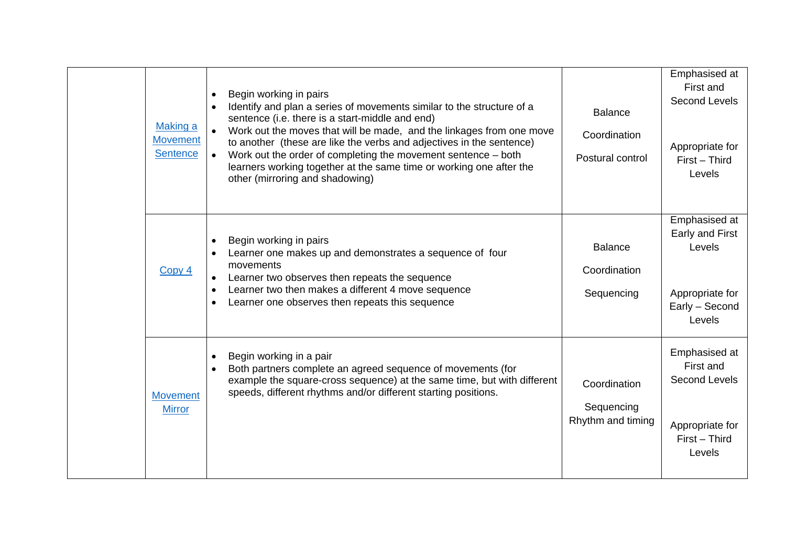| <b>Making a</b><br><b>Movement</b><br><b>Sentence</b> | Begin working in pairs<br>Identify and plan a series of movements similar to the structure of a<br>sentence (i.e. there is a start-middle and end)<br>Work out the moves that will be made, and the linkages from one move<br>to another (these are like the verbs and adjectives in the sentence)<br>Work out the order of completing the movement sentence – both<br>$\bullet$<br>learners working together at the same time or working one after the<br>other (mirroring and shadowing) | <b>Balance</b><br>Coordination<br>Postural control | Emphasised at<br>First and<br>Second Levels<br>Appropriate for<br>First - Third<br>Levels |
|-------------------------------------------------------|--------------------------------------------------------------------------------------------------------------------------------------------------------------------------------------------------------------------------------------------------------------------------------------------------------------------------------------------------------------------------------------------------------------------------------------------------------------------------------------------|----------------------------------------------------|-------------------------------------------------------------------------------------------|
| Copy 4                                                | Begin working in pairs<br>Learner one makes up and demonstrates a sequence of four<br>movements<br>Learner two observes then repeats the sequence<br>Learner two then makes a different 4 move sequence<br>Learner one observes then repeats this sequence                                                                                                                                                                                                                                 | <b>Balance</b><br>Coordination<br>Sequencing       | Emphasised at<br>Early and First<br>Levels<br>Appropriate for<br>Early - Second<br>Levels |
| <b>Movement</b><br><b>Mirror</b>                      | Begin working in a pair<br>Both partners complete an agreed sequence of movements (for<br>example the square-cross sequence) at the same time, but with different<br>speeds, different rhythms and/or different starting positions.                                                                                                                                                                                                                                                        | Coordination<br>Sequencing<br>Rhythm and timing    | Emphasised at<br>First and<br>Second Levels<br>Appropriate for<br>First - Third<br>Levels |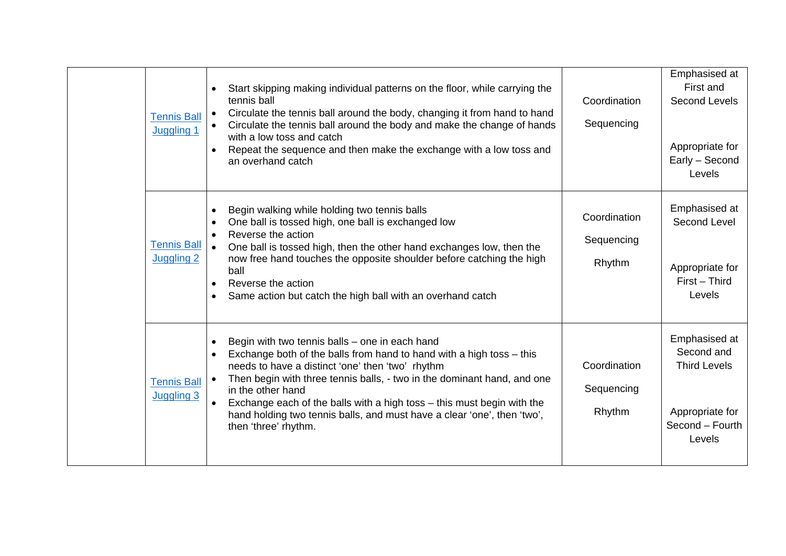| <b>Tennis Ball</b><br>Juggling 1        | Start skipping making individual patterns on the floor, while carrying the<br>tennis ball<br>Circulate the tennis ball around the body, changing it from hand to hand<br>Circulate the tennis ball around the body and make the change of hands<br>with a low toss and catch<br>Repeat the sequence and then make the exchange with a low toss and<br>an overhand catch                                                                                                           | Coordination<br>Sequencing           | Emphasised at<br>First and<br>Second Levels<br>Appropriate for<br>Early - Second<br>Levels         |
|-----------------------------------------|-----------------------------------------------------------------------------------------------------------------------------------------------------------------------------------------------------------------------------------------------------------------------------------------------------------------------------------------------------------------------------------------------------------------------------------------------------------------------------------|--------------------------------------|----------------------------------------------------------------------------------------------------|
| <b>Tennis Ball</b><br><b>Juggling 2</b> | Begin walking while holding two tennis balls<br>One ball is tossed high, one ball is exchanged low<br>Reverse the action<br>One ball is tossed high, then the other hand exchanges low, then the<br>now free hand touches the opposite shoulder before catching the high<br>ball<br>Reverse the action<br>Same action but catch the high ball with an overhand catch                                                                                                              | Coordination<br>Sequencing<br>Rhythm | Emphasised at<br>Second Level<br>Appropriate for<br>First - Third<br>Levels                        |
| <b>Tennis Ball</b><br><b>Juggling 3</b> | Begin with two tennis balls - one in each hand<br>Exchange both of the balls from hand to hand with a high toss - this<br>needs to have a distinct 'one' then 'two' rhythm<br>Then begin with three tennis balls, - two in the dominant hand, and one<br>$\bullet$<br>in the other hand<br>Exchange each of the balls with a high toss - this must begin with the<br>$\bullet$<br>hand holding two tennis balls, and must have a clear 'one', then 'two',<br>then 'three' rhythm. | Coordination<br>Sequencing<br>Rhythm | Emphasised at<br>Second and<br><b>Third Levels</b><br>Appropriate for<br>Second - Fourth<br>Levels |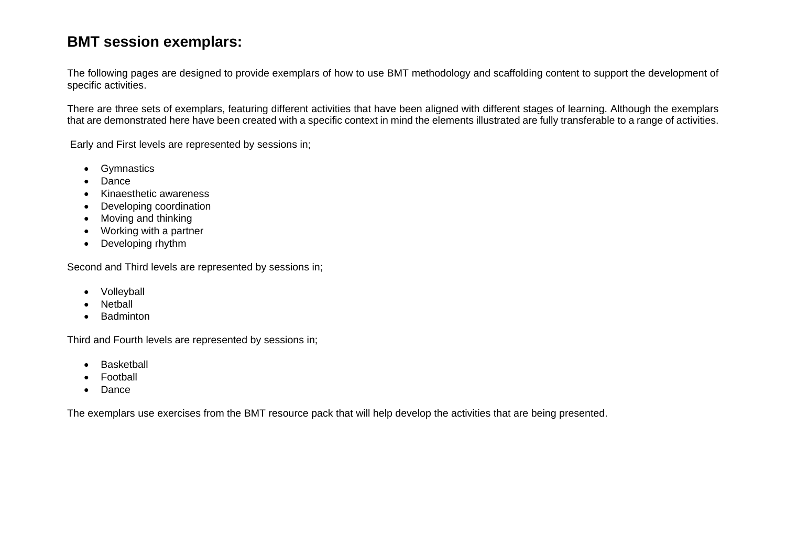## <span id="page-29-0"></span>**BMT session exemplars:**

The following pages are designed to provide exemplars of how to use BMT methodology and scaffolding content to support the development of specific activities.

There are three sets of exemplars, featuring different activities that have been aligned with different stages of learning. Although the exemplars that are demonstrated here have been created with a specific context in mind the elements illustrated are fully transferable to a range of activities.

Early and First levels are represented by sessions in;

- Gymnastics
- Dance
- Kinaesthetic awareness
- Developing coordination
- Moving and thinking
- Working with a partner
- Developing rhythm

Second and Third levels are represented by sessions in;

- Volleyball
- **Netball**
- Badminton

Third and Fourth levels are represented by sessions in;

- **Basketball**
- Football
- Dance

The exemplars use exercises from the BMT resource pack that will help develop the activities that are being presented.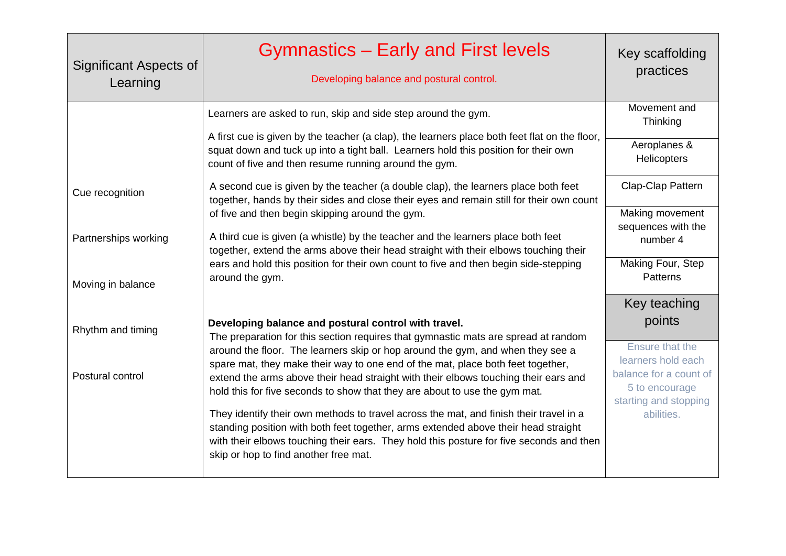| Significant Aspects of<br>Learning | <b>Gymnastics - Early and First levels</b><br>Developing balance and postural control.                                                                                                                                                                                                                           | Key scaffolding<br>practices                                                            |
|------------------------------------|------------------------------------------------------------------------------------------------------------------------------------------------------------------------------------------------------------------------------------------------------------------------------------------------------------------|-----------------------------------------------------------------------------------------|
|                                    | Learners are asked to run, skip and side step around the gym.                                                                                                                                                                                                                                                    | Movement and<br>Thinking                                                                |
|                                    | A first cue is given by the teacher (a clap), the learners place both feet flat on the floor,<br>squat down and tuck up into a tight ball. Learners hold this position for their own<br>count of five and then resume running around the gym.                                                                    | Aeroplanes &<br><b>Helicopters</b>                                                      |
| Cue recognition                    | A second cue is given by the teacher (a double clap), the learners place both feet<br>together, hands by their sides and close their eyes and remain still for their own count                                                                                                                                   | Clap-Clap Pattern                                                                       |
|                                    | of five and then begin skipping around the gym.                                                                                                                                                                                                                                                                  | Making movement<br>sequences with the                                                   |
| Partnerships working               | A third cue is given (a whistle) by the teacher and the learners place both feet<br>together, extend the arms above their head straight with their elbows touching their                                                                                                                                         | number 4                                                                                |
| Moving in balance                  | ears and hold this position for their own count to five and then begin side-stepping<br>around the gym.                                                                                                                                                                                                          | Making Four, Step<br>Patterns                                                           |
|                                    |                                                                                                                                                                                                                                                                                                                  | Key teaching                                                                            |
| Rhythm and timing                  | Developing balance and postural control with travel.                                                                                                                                                                                                                                                             | points                                                                                  |
|                                    | The preparation for this section requires that gymnastic mats are spread at random<br>around the floor. The learners skip or hop around the gym, and when they see a                                                                                                                                             | Ensure that the                                                                         |
| Postural control                   | spare mat, they make their way to one end of the mat, place both feet together,<br>extend the arms above their head straight with their elbows touching their ears and<br>hold this for five seconds to show that they are about to use the gym mat.                                                             | learners hold each<br>balance for a count of<br>5 to encourage<br>starting and stopping |
|                                    | They identify their own methods to travel across the mat, and finish their travel in a<br>standing position with both feet together, arms extended above their head straight<br>with their elbows touching their ears. They hold this posture for five seconds and then<br>skip or hop to find another free mat. | abilities.                                                                              |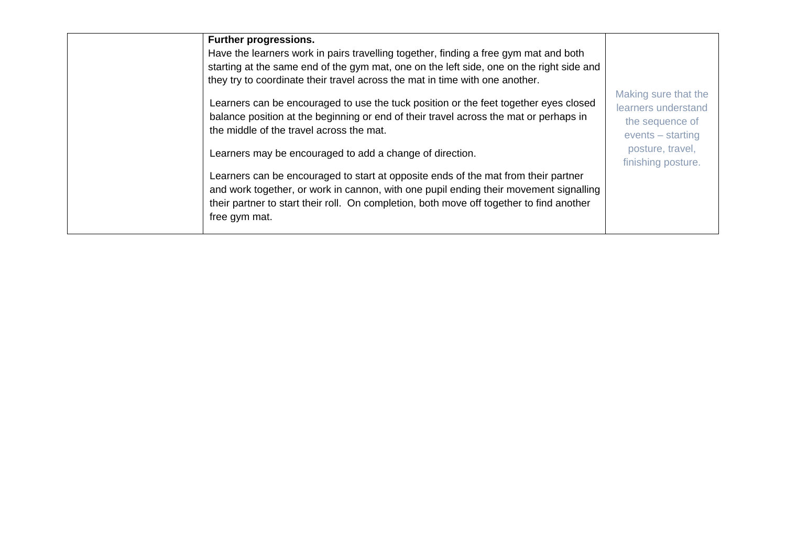| <b>Further progressions.</b><br>Have the learners work in pairs travelling together, finding a free gym mat and both<br>starting at the same end of the gym mat, one on the left side, one on the right side and<br>they try to coordinate their travel across the mat in time with one another.                                                                            |                                                                                                                                 |
|-----------------------------------------------------------------------------------------------------------------------------------------------------------------------------------------------------------------------------------------------------------------------------------------------------------------------------------------------------------------------------|---------------------------------------------------------------------------------------------------------------------------------|
| Learners can be encouraged to use the tuck position or the feet together eyes closed<br>balance position at the beginning or end of their travel across the mat or perhaps in<br>the middle of the travel across the mat.<br>Learners may be encouraged to add a change of direction.<br>Learners can be encouraged to start at opposite ends of the mat from their partner | Making sure that the<br>learners understand<br>the sequence of<br>$events - starting$<br>posture, travel,<br>finishing posture. |
| and work together, or work in cannon, with one pupil ending their movement signalling<br>their partner to start their roll. On completion, both move off together to find another<br>free gym mat.                                                                                                                                                                          |                                                                                                                                 |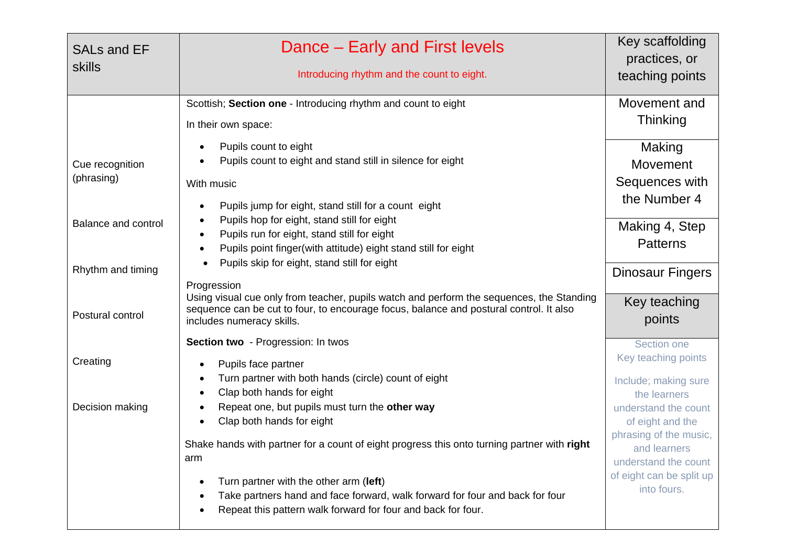| <b>SALs and EF</b><br><b>skills</b>             | Dance – Early and First levels<br>Introducing rhythm and the count to eight.                                                                                                                                                           | Key scaffolding<br>practices, or<br>teaching points                                        |
|-------------------------------------------------|----------------------------------------------------------------------------------------------------------------------------------------------------------------------------------------------------------------------------------------|--------------------------------------------------------------------------------------------|
|                                                 | Scottish; Section one - Introducing rhythm and count to eight<br>In their own space:                                                                                                                                                   | Movement and<br><b>Thinking</b>                                                            |
| Cue recognition<br>(phrasing)                   | Pupils count to eight<br>$\bullet$<br>Pupils count to eight and stand still in silence for eight<br>With music<br>Pupils jump for eight, stand still for a count eight<br>$\bullet$                                                    | Making<br><b>Movement</b><br>Sequences with<br>the Number 4                                |
| <b>Balance and control</b><br>Rhythm and timing | Pupils hop for eight, stand still for eight<br>$\bullet$<br>Pupils run for eight, stand still for eight<br>$\bullet$<br>Pupils point finger(with attitude) eight stand still for eight<br>Pupils skip for eight, stand still for eight | Making 4, Step<br><b>Patterns</b><br><b>Dinosaur Fingers</b>                               |
| Postural control                                | Progression<br>Using visual cue only from teacher, pupils watch and perform the sequences, the Standing<br>sequence can be cut to four, to encourage focus, balance and postural control. It also<br>includes numeracy skills.         | Key teaching<br>points                                                                     |
| Creating                                        | Section two - Progression: In twos<br>Pupils face partner<br>$\bullet$<br>Turn partner with both hands (circle) count of eight                                                                                                         | Section one<br>Key teaching points                                                         |
| Decision making                                 | $\bullet$<br>Clap both hands for eight<br>$\bullet$<br>Repeat one, but pupils must turn the other way<br>Clap both hands for eight                                                                                                     | Include; making sure<br>the learners<br>understand the count<br>of eight and the           |
|                                                 | Shake hands with partner for a count of eight progress this onto turning partner with right<br>arm                                                                                                                                     | phrasing of the music,<br>and learners<br>understand the count<br>of eight can be split up |
|                                                 | Turn partner with the other arm (left)<br>$\bullet$<br>Take partners hand and face forward, walk forward for four and back for four<br>$\bullet$<br>Repeat this pattern walk forward for four and back for four.<br>$\bullet$          | into fours.                                                                                |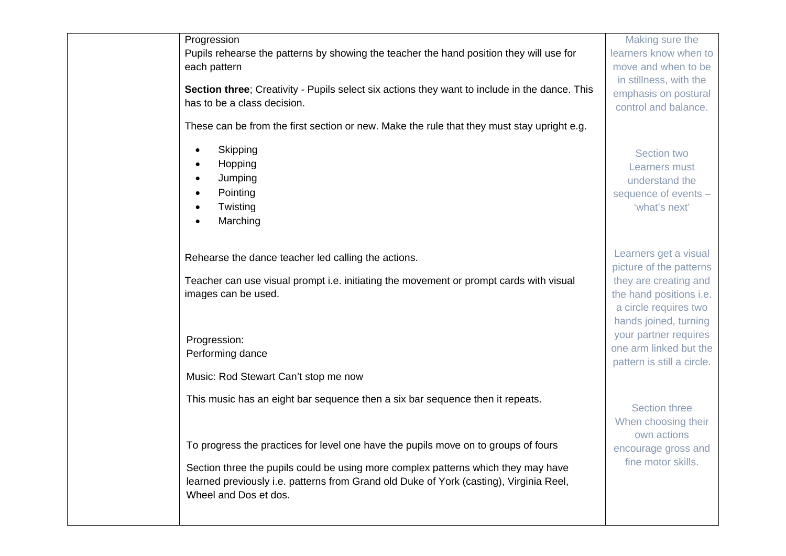Progression Pupils rehearse the patterns by showing the teacher the hand position they will use for each pattern

**Section three**; Creativity - Pupils select six actions they want to include in the dance. This has to be a class decision.

These can be from the first section or new. Make the rule that they must stay upright e.g.

- **Skipping**
- Hopping
- Jumping
- Pointing
- Twisting
- Marching

Rehearse the dance teacher led calling the actions.

Teacher can use visual prompt i.e. initiating the movement or prompt cards with visual images can be used.

Progression: Performing dance

Music: Rod Stewart Can't stop me now

This music has an eight bar sequence then a six bar sequence then it repeats.

To progress the practices for level one have the pupils move on to groups of fours

Section three the pupils could be using more complex patterns which they may have learned previously i.e. patterns from Grand old Duke of York (casting), Virginia Reel, Wheel and Dos et dos.

Making sure the learners know when to move and when to be in stillness, with the emphasis on postural control and balance.

Section two Learners must understand the sequence of events – 'what's next'

Learners get a visual picture of the patterns they are creating and the hand positions i.e. a circle requires two hands joined, turning your partner requires one arm linked but the pattern is still a circle.

Section three When choosing their own actions encourage gross and fine motor skills.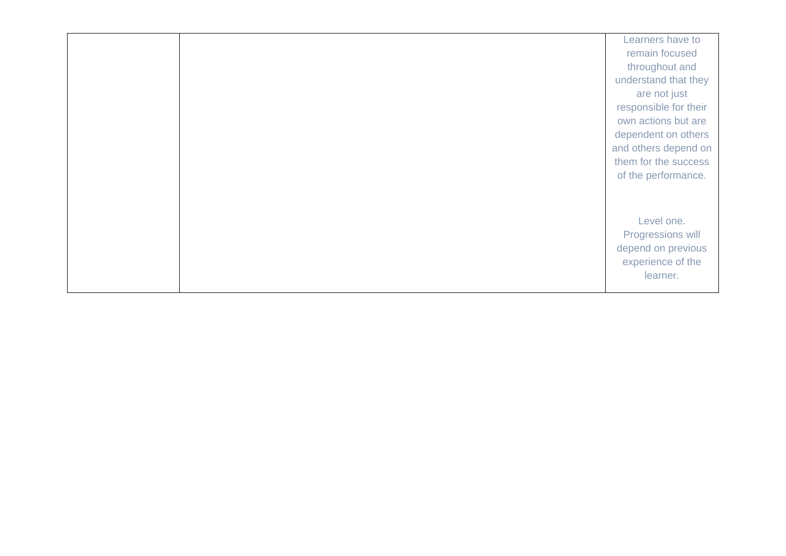|  | Learners have to      |
|--|-----------------------|
|  | remain focused        |
|  | throughout and        |
|  | understand that they  |
|  | are not just          |
|  | responsible for their |
|  | own actions but are   |
|  | dependent on others   |
|  | and others depend on  |
|  | them for the success  |
|  | of the performance.   |
|  |                       |
|  |                       |
|  | Level one.            |
|  | Progressions will     |
|  | depend on previous    |
|  | experience of the     |
|  | learner.              |
|  |                       |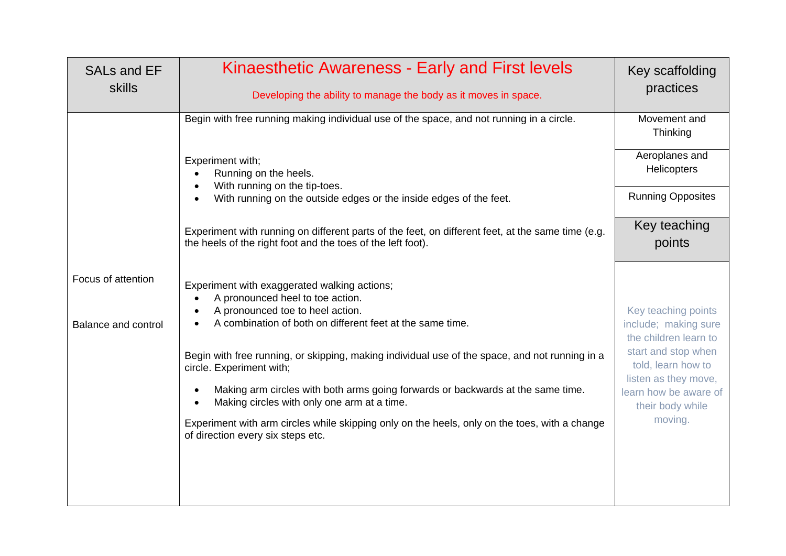| <b>SALs and EF</b><br>skills              | Kinaesthetic Awareness - Early and First levels<br>Developing the ability to manage the body as it moves in space.                                                                                          | Key scaffolding<br>practices                                         |
|-------------------------------------------|-------------------------------------------------------------------------------------------------------------------------------------------------------------------------------------------------------------|----------------------------------------------------------------------|
|                                           | Begin with free running making individual use of the space, and not running in a circle.                                                                                                                    | Movement and<br>Thinking                                             |
|                                           | Experiment with;<br>Running on the heels.<br>$\bullet$                                                                                                                                                      | Aeroplanes and<br><b>Helicopters</b>                                 |
|                                           | With running on the tip-toes.<br>$\bullet$<br>With running on the outside edges or the inside edges of the feet.<br>$\bullet$                                                                               | <b>Running Opposites</b>                                             |
|                                           | Experiment with running on different parts of the feet, on different feet, at the same time (e.g.<br>the heels of the right foot and the toes of the left foot).                                            | Key teaching<br>points                                               |
| Focus of attention<br>Balance and control | Experiment with exaggerated walking actions;<br>A pronounced heel to toe action.<br>A pronounced toe to heel action.<br>$\bullet$<br>A combination of both on different feet at the same time.<br>$\bullet$ | Key teaching points<br>include; making sure<br>the children learn to |
|                                           | Begin with free running, or skipping, making individual use of the space, and not running in a<br>circle. Experiment with;                                                                                  | start and stop when<br>told, learn how to<br>listen as they move,    |
|                                           | Making arm circles with both arms going forwards or backwards at the same time.<br>$\bullet$<br>Making circles with only one arm at a time.<br>$\bullet$                                                    | learn how be aware of<br>their body while                            |
|                                           | Experiment with arm circles while skipping only on the heels, only on the toes, with a change<br>of direction every six steps etc.                                                                          | moving.                                                              |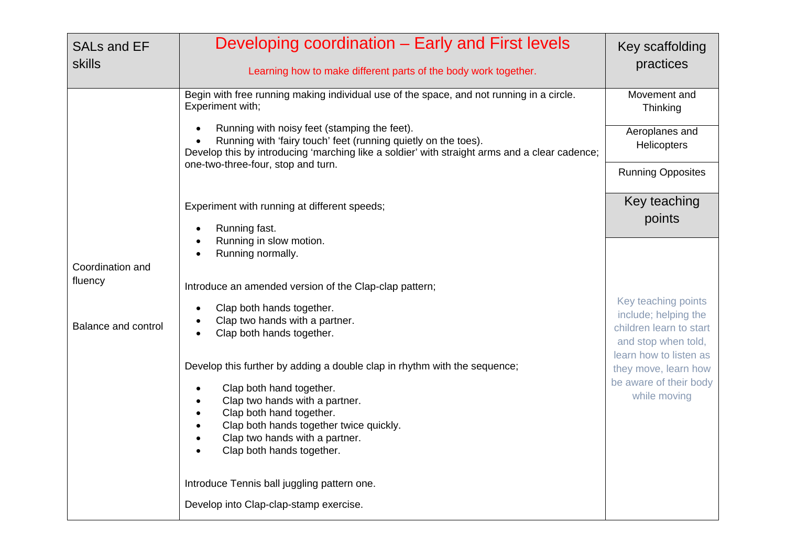| <b>SALs and EF</b><br>skills | Developing coordination - Early and First levels<br>Learning how to make different parts of the body work together.                                                                                                                                                                                                  | Key scaffolding<br>practices                                             |
|------------------------------|----------------------------------------------------------------------------------------------------------------------------------------------------------------------------------------------------------------------------------------------------------------------------------------------------------------------|--------------------------------------------------------------------------|
|                              | Begin with free running making individual use of the space, and not running in a circle.<br>Experiment with;                                                                                                                                                                                                         | Movement and<br>Thinking                                                 |
|                              | Running with noisy feet (stamping the feet).<br>Running with 'fairy touch' feet (running quietly on the toes).<br>Develop this by introducing 'marching like a soldier' with straight arms and a clear cadence;                                                                                                      | Aeroplanes and<br>Helicopters                                            |
|                              | one-two-three-four, stop and turn.                                                                                                                                                                                                                                                                                   | <b>Running Opposites</b>                                                 |
|                              | Experiment with running at different speeds;<br>Running fast.                                                                                                                                                                                                                                                        | Key teaching<br>points                                                   |
| Coordination and             | Running in slow motion.<br>Running normally.                                                                                                                                                                                                                                                                         |                                                                          |
| fluency                      | Introduce an amended version of the Clap-clap pattern;<br>Clap both hands together.                                                                                                                                                                                                                                  | Key teaching points<br>include; helping the                              |
| Balance and control          | Clap two hands with a partner.<br>Clap both hands together.                                                                                                                                                                                                                                                          | children learn to start<br>and stop when told,<br>learn how to listen as |
|                              | Develop this further by adding a double clap in rhythm with the sequence;<br>Clap both hand together.<br>$\bullet$<br>Clap two hands with a partner.<br>Clap both hand together.<br>$\bullet$<br>Clap both hands together twice quickly.<br>$\bullet$<br>Clap two hands with a partner.<br>Clap both hands together. | they move, learn how<br>be aware of their body<br>while moving           |
|                              | Introduce Tennis ball juggling pattern one.                                                                                                                                                                                                                                                                          |                                                                          |
|                              | Develop into Clap-clap-stamp exercise.                                                                                                                                                                                                                                                                               |                                                                          |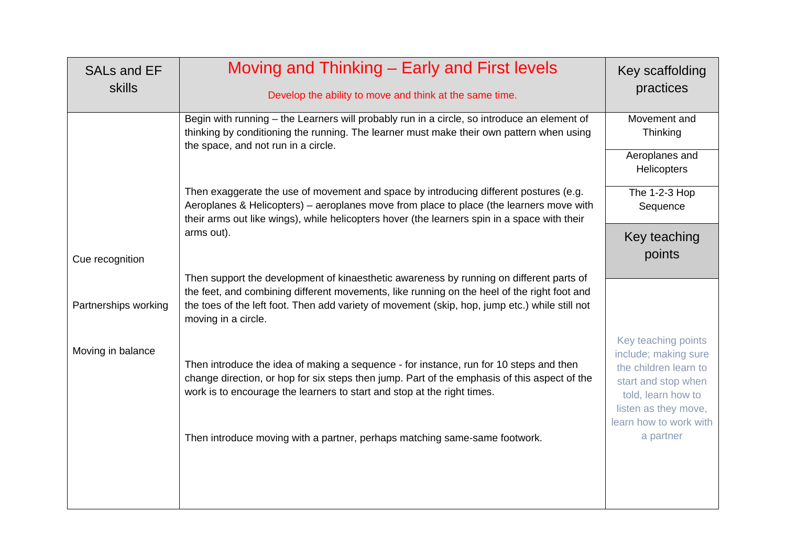| SALs and EF<br><b>skills</b> | Moving and Thinking – Early and First levels<br>Develop the ability to move and think at the same time.                                                                                                                                                                                                         | Key scaffolding<br>practices                                                                                                                                        |
|------------------------------|-----------------------------------------------------------------------------------------------------------------------------------------------------------------------------------------------------------------------------------------------------------------------------------------------------------------|---------------------------------------------------------------------------------------------------------------------------------------------------------------------|
|                              | Begin with running - the Learners will probably run in a circle, so introduce an element of<br>thinking by conditioning the running. The learner must make their own pattern when using<br>the space, and not run in a circle.                                                                                  | Movement and<br>Thinking                                                                                                                                            |
|                              |                                                                                                                                                                                                                                                                                                                 | Aeroplanes and<br>Helicopters                                                                                                                                       |
|                              | Then exaggerate the use of movement and space by introducing different postures (e.g.<br>Aeroplanes & Helicopters) - aeroplanes move from place to place (the learners move with<br>their arms out like wings), while helicopters hover (the learners spin in a space with their                                | The 1-2-3 Hop<br>Sequence                                                                                                                                           |
| Cue recognition              | arms out).                                                                                                                                                                                                                                                                                                      | Key teaching<br>points                                                                                                                                              |
| Partnerships working         | Then support the development of kinaesthetic awareness by running on different parts of<br>the feet, and combining different movements, like running on the heel of the right foot and<br>the toes of the left foot. Then add variety of movement (skip, hop, jump etc.) while still not<br>moving in a circle. |                                                                                                                                                                     |
| Moving in balance            | Then introduce the idea of making a sequence - for instance, run for 10 steps and then<br>change direction, or hop for six steps then jump. Part of the emphasis of this aspect of the<br>work is to encourage the learners to start and stop at the right times.                                               | Key teaching points<br>include; making sure<br>the children learn to<br>start and stop when<br>told, learn how to<br>listen as they move,<br>learn how to work with |
|                              | Then introduce moving with a partner, perhaps matching same-same footwork.                                                                                                                                                                                                                                      | a partner                                                                                                                                                           |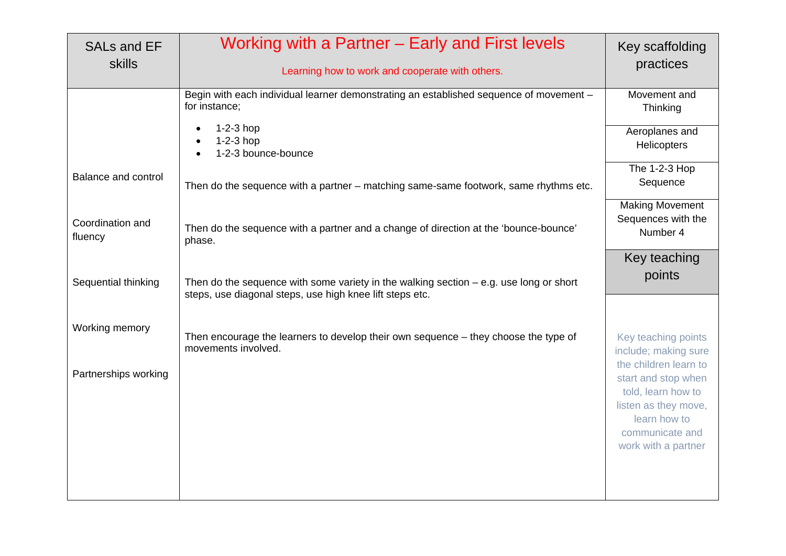| <b>SALs and EF</b><br><b>skills</b> | Working with a Partner – Early and First levels<br>Learning how to work and cooperate with others.                                                   | Key scaffolding<br>practices                                                                                                                                                 |
|-------------------------------------|------------------------------------------------------------------------------------------------------------------------------------------------------|------------------------------------------------------------------------------------------------------------------------------------------------------------------------------|
|                                     | Begin with each individual learner demonstrating an established sequence of movement -<br>for instance;                                              | Movement and<br>Thinking                                                                                                                                                     |
|                                     | $1-2-3$ hop<br>$1-2-3$ hop<br>1-2-3 bounce-bounce                                                                                                    | Aeroplanes and<br>Helicopters                                                                                                                                                |
| Balance and control                 | Then do the sequence with a partner - matching same-same footwork, same rhythms etc.                                                                 | The 1-2-3 Hop<br>Sequence                                                                                                                                                    |
| Coordination and<br>fluency         | Then do the sequence with a partner and a change of direction at the 'bounce-bounce'<br>phase.                                                       | <b>Making Movement</b><br>Sequences with the<br>Number 4                                                                                                                     |
| Sequential thinking                 | Then do the sequence with some variety in the walking section $-$ e.g. use long or short<br>steps, use diagonal steps, use high knee lift steps etc. | Key teaching<br>points                                                                                                                                                       |
| Working memory                      | Then encourage the learners to develop their own sequence - they choose the type of<br>movements involved.                                           | Key teaching points                                                                                                                                                          |
| Partnerships working                |                                                                                                                                                      | include; making sure<br>the children learn to<br>start and stop when<br>told, learn how to<br>listen as they move,<br>learn how to<br>communicate and<br>work with a partner |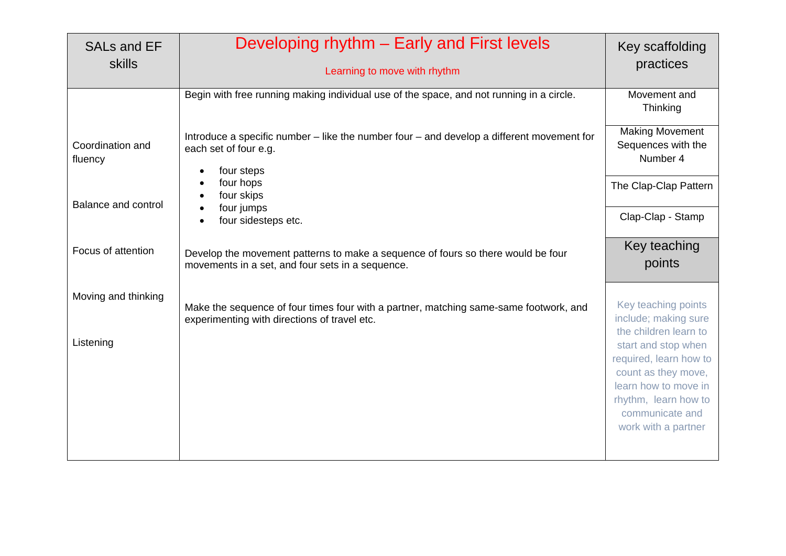| <b>SALs and EF</b><br>skills | Developing rhythm – Early and First levels<br>Learning to move with rhythm                                                                    | Key scaffolding<br>practices                                                                                                                                   |
|------------------------------|-----------------------------------------------------------------------------------------------------------------------------------------------|----------------------------------------------------------------------------------------------------------------------------------------------------------------|
|                              | Begin with free running making individual use of the space, and not running in a circle.                                                      | Movement and<br>Thinking                                                                                                                                       |
| Coordination and<br>fluency  | Introduce a specific number – like the number four – and develop a different movement for<br>each set of four e.g.<br>four steps<br>$\bullet$ | <b>Making Movement</b><br>Sequences with the<br>Number 4                                                                                                       |
| <b>Balance and control</b>   | four hops<br>four skips<br>four jumps                                                                                                         | The Clap-Clap Pattern                                                                                                                                          |
|                              | four sidesteps etc.                                                                                                                           | Clap-Clap - Stamp                                                                                                                                              |
| Focus of attention           | Develop the movement patterns to make a sequence of fours so there would be four<br>movements in a set, and four sets in a sequence.          | Key teaching<br>points                                                                                                                                         |
| Moving and thinking          | Make the sequence of four times four with a partner, matching same-same footwork, and<br>experimenting with directions of travel etc.         | Key teaching points<br>include; making sure<br>the children learn to                                                                                           |
| Listening                    |                                                                                                                                               | start and stop when<br>required, learn how to<br>count as they move,<br>learn how to move in<br>rhythm, learn how to<br>communicate and<br>work with a partner |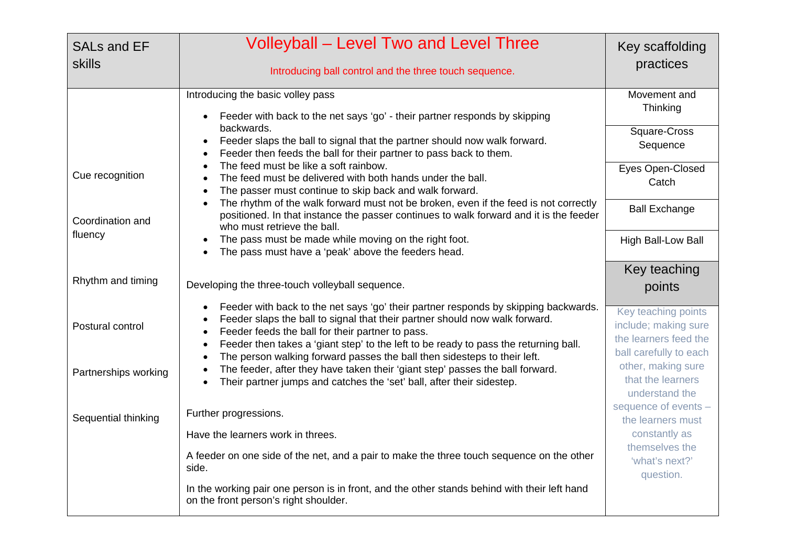| <b>SALs and EF</b><br><b>skills</b> | <b>Volleyball – Level Two and Level Three</b><br>Introducing ball control and the three touch sequence.                                                                                                                                                                                                                                                                                                 | Key scaffolding<br>practices                                                                   |
|-------------------------------------|---------------------------------------------------------------------------------------------------------------------------------------------------------------------------------------------------------------------------------------------------------------------------------------------------------------------------------------------------------------------------------------------------------|------------------------------------------------------------------------------------------------|
|                                     | Introducing the basic volley pass<br>Feeder with back to the net says 'go' - their partner responds by skipping                                                                                                                                                                                                                                                                                         | Movement and<br>Thinking                                                                       |
|                                     | backwards.<br>Feeder slaps the ball to signal that the partner should now walk forward.<br>Feeder then feeds the ball for their partner to pass back to them.                                                                                                                                                                                                                                           | Square-Cross<br>Sequence                                                                       |
| Cue recognition                     | The feed must be like a soft rainbow.<br>The feed must be delivered with both hands under the ball.<br>The passer must continue to skip back and walk forward.                                                                                                                                                                                                                                          | Eyes Open-Closed<br>Catch                                                                      |
| Coordination and                    | The rhythm of the walk forward must not be broken, even if the feed is not correctly<br>$\bullet$<br>positioned. In that instance the passer continues to walk forward and it is the feeder<br>who must retrieve the ball.                                                                                                                                                                              | <b>Ball Exchange</b>                                                                           |
| fluency                             | The pass must be made while moving on the right foot.<br>The pass must have a 'peak' above the feeders head.                                                                                                                                                                                                                                                                                            | High Ball-Low Ball                                                                             |
| Rhythm and timing                   | Developing the three-touch volleyball sequence.                                                                                                                                                                                                                                                                                                                                                         | Key teaching<br>points                                                                         |
| Postural control                    | Feeder with back to the net says 'go' their partner responds by skipping backwards.<br>Feeder slaps the ball to signal that their partner should now walk forward.<br>Feeder feeds the ball for their partner to pass.<br>Feeder then takes a 'giant step' to the left to be ready to pass the returning ball.<br>$\bullet$<br>The person walking forward passes the ball then sidesteps to their left. | Key teaching points<br>include; making sure<br>the learners feed the<br>ball carefully to each |
| Partnerships working                | The feeder, after they have taken their 'giant step' passes the ball forward.<br>Their partner jumps and catches the 'set' ball, after their sidestep.                                                                                                                                                                                                                                                  | other, making sure<br>that the learners<br>understand the                                      |
| Sequential thinking                 | Further progressions.                                                                                                                                                                                                                                                                                                                                                                                   | sequence of events -<br>the learners must                                                      |
|                                     | Have the learners work in threes.                                                                                                                                                                                                                                                                                                                                                                       | constantly as                                                                                  |
|                                     | A feeder on one side of the net, and a pair to make the three touch sequence on the other<br>side.                                                                                                                                                                                                                                                                                                      | themselves the<br>'what's next?'<br>question.                                                  |
|                                     | In the working pair one person is in front, and the other stands behind with their left hand<br>on the front person's right shoulder.                                                                                                                                                                                                                                                                   |                                                                                                |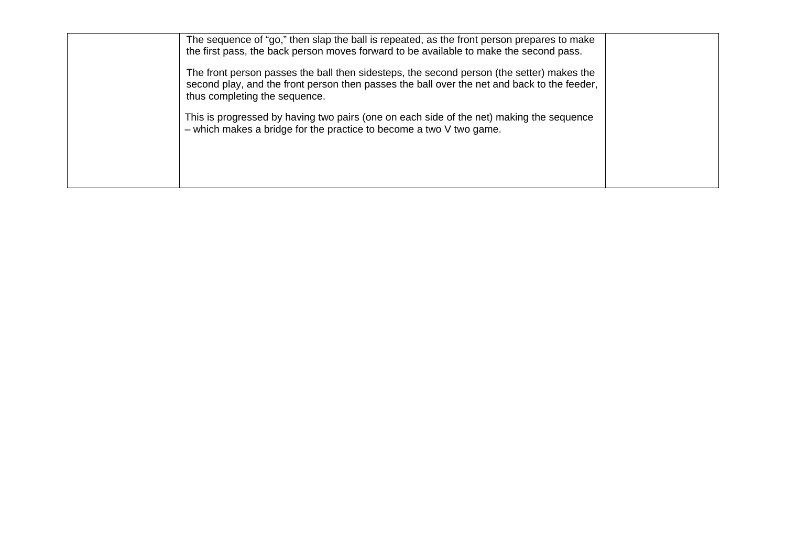| The sequence of "go," then slap the ball is repeated, as the front person prepares to make<br>the first pass, the back person moves forward to be available to make the second pass.                                      |  |
|---------------------------------------------------------------------------------------------------------------------------------------------------------------------------------------------------------------------------|--|
| The front person passes the ball then sidesteps, the second person (the setter) makes the<br>second play, and the front person then passes the ball over the net and back to the feeder,<br>thus completing the sequence. |  |
| This is progressed by having two pairs (one on each side of the net) making the sequence<br>$-$ which makes a bridge for the practice to become a two $V$ two game.                                                       |  |
|                                                                                                                                                                                                                           |  |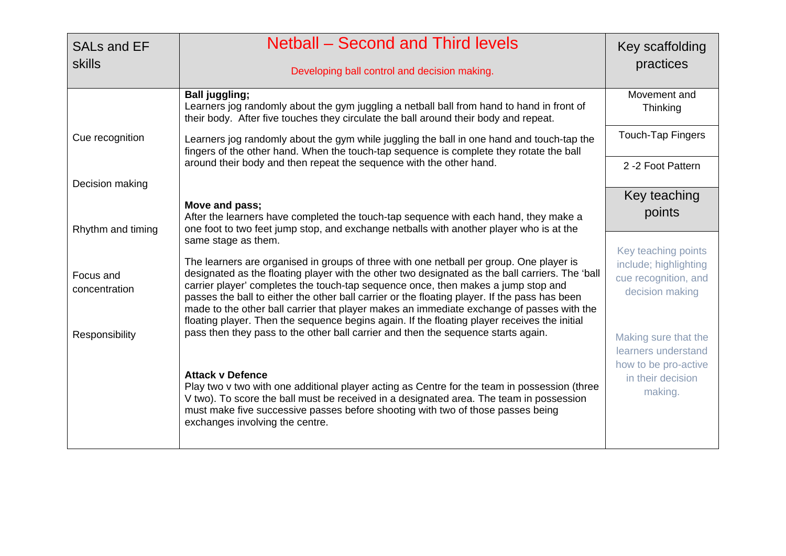| <b>SALs and EF</b><br><b>skills</b> | <b>Netball – Second and Third levels</b><br>Developing ball control and decision making.                                                                                                                                                                                                                                                                                                                                                                                                                                                                                                             | Key scaffolding<br>practices                                                            |
|-------------------------------------|------------------------------------------------------------------------------------------------------------------------------------------------------------------------------------------------------------------------------------------------------------------------------------------------------------------------------------------------------------------------------------------------------------------------------------------------------------------------------------------------------------------------------------------------------------------------------------------------------|-----------------------------------------------------------------------------------------|
|                                     | <b>Ball juggling;</b><br>Learners jog randomly about the gym juggling a netball ball from hand to hand in front of<br>their body. After five touches they circulate the ball around their body and repeat.                                                                                                                                                                                                                                                                                                                                                                                           | Movement and<br>Thinking                                                                |
| Cue recognition                     | Learners jog randomly about the gym while juggling the ball in one hand and touch-tap the<br>fingers of the other hand. When the touch-tap sequence is complete they rotate the ball                                                                                                                                                                                                                                                                                                                                                                                                                 | <b>Touch-Tap Fingers</b>                                                                |
| Decision making                     | around their body and then repeat the sequence with the other hand.                                                                                                                                                                                                                                                                                                                                                                                                                                                                                                                                  | 2 -2 Foot Pattern                                                                       |
|                                     |                                                                                                                                                                                                                                                                                                                                                                                                                                                                                                                                                                                                      | Key teaching                                                                            |
| Rhythm and timing                   | Move and pass;<br>After the learners have completed the touch-tap sequence with each hand, they make a<br>one foot to two feet jump stop, and exchange netballs with another player who is at the                                                                                                                                                                                                                                                                                                                                                                                                    | points                                                                                  |
| Focus and<br>concentration          | same stage as them.<br>The learners are organised in groups of three with one netball per group. One player is<br>designated as the floating player with the other two designated as the ball carriers. The 'ball<br>carrier player' completes the touch-tap sequence once, then makes a jump stop and<br>passes the ball to either the other ball carrier or the floating player. If the pass has been<br>made to the other ball carrier that player makes an immediate exchange of passes with the<br>floating player. Then the sequence begins again. If the floating player receives the initial | Key teaching points<br>include; highlighting<br>cue recognition, and<br>decision making |
| Responsibility                      | pass then they pass to the other ball carrier and then the sequence starts again.                                                                                                                                                                                                                                                                                                                                                                                                                                                                                                                    | Making sure that the<br>learners understand<br>how to be pro-active                     |
|                                     | <b>Attack v Defence</b><br>Play two v two with one additional player acting as Centre for the team in possession (three<br>V two). To score the ball must be received in a designated area. The team in possession<br>must make five successive passes before shooting with two of those passes being<br>exchanges involving the centre.                                                                                                                                                                                                                                                             | in their decision<br>making.                                                            |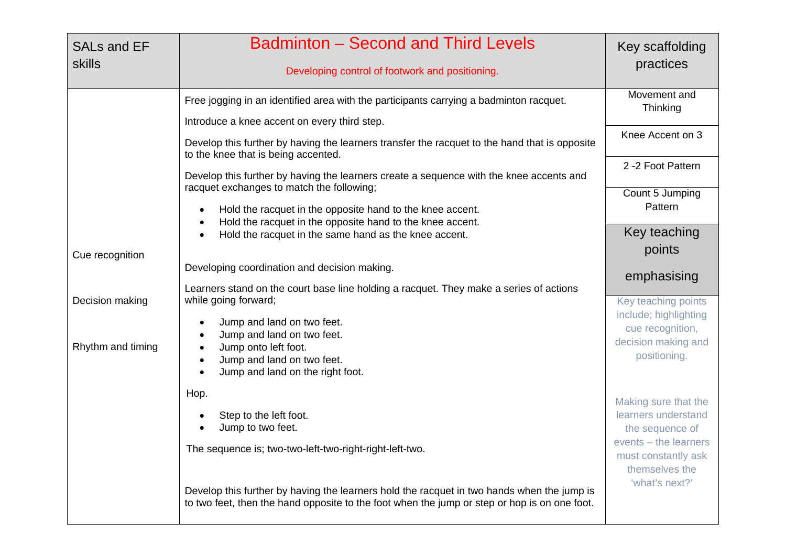| <b>SALs and EF</b><br><b>skills</b> | <b>Badminton - Second and Third Levels</b><br>Developing control of footwork and positioning.                                                                                                          | Key scaffolding<br>practices                                   |
|-------------------------------------|--------------------------------------------------------------------------------------------------------------------------------------------------------------------------------------------------------|----------------------------------------------------------------|
|                                     | Free jogging in an identified area with the participants carrying a badminton racquet.<br>Introduce a knee accent on every third step.                                                                 | Movement and<br>Thinking                                       |
|                                     | Develop this further by having the learners transfer the racquet to the hand that is opposite<br>to the knee that is being accented.                                                                   | Knee Accent on 3                                               |
|                                     | Develop this further by having the learners create a sequence with the knee accents and<br>racquet exchanges to match the following;                                                                   | 2 -2 Foot Pattern                                              |
|                                     | Hold the racquet in the opposite hand to the knee accent.<br>$\bullet$<br>Hold the racquet in the opposite hand to the knee accent.<br>$\bullet$                                                       | Count 5 Jumping<br>Pattern                                     |
| Cue recognition                     | Hold the racquet in the same hand as the knee accent.                                                                                                                                                  | Key teaching<br>points                                         |
|                                     | Developing coordination and decision making.<br>Learners stand on the court base line holding a racquet. They make a series of actions                                                                 | emphasising                                                    |
| Decision making                     | while going forward;                                                                                                                                                                                   | Key teaching points<br>include; highlighting                   |
| Rhythm and timing                   | Jump and land on two feet.<br>$\bullet$<br>Jump and land on two feet.<br>$\bullet$<br>Jump onto left foot.<br>$\bullet$<br>Jump and land on two feet.<br>$\bullet$<br>Jump and land on the right foot. | cue recognition,<br>decision making and<br>positioning.        |
|                                     | Hop.<br>Step to the left foot.<br>$\bullet$<br>Jump to two feet.                                                                                                                                       | Making sure that the<br>learners understand<br>the sequence of |
|                                     | The sequence is; two-two-left-two-right-right-left-two.                                                                                                                                                | events - the learners<br>must constantly ask<br>themselves the |
|                                     | Develop this further by having the learners hold the racquet in two hands when the jump is<br>to two feet, then the hand opposite to the foot when the jump or step or hop is on one foot.             | 'what's next?'                                                 |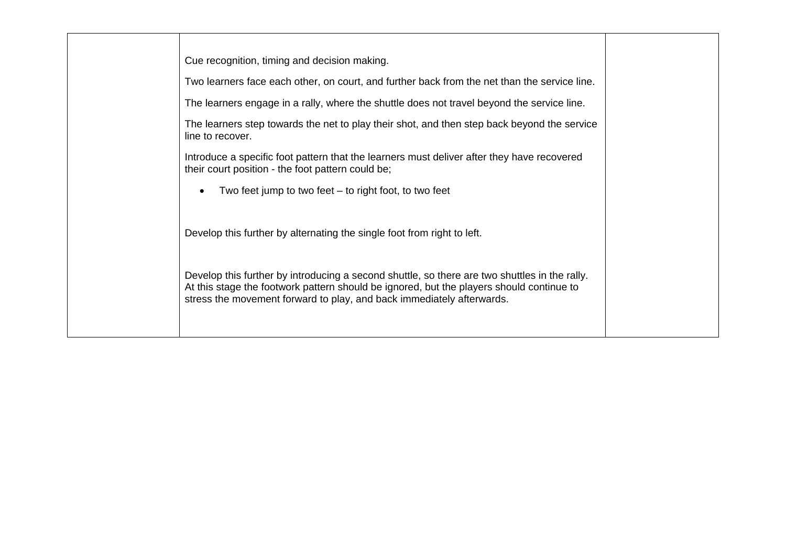| Cue recognition, timing and decision making.                                                                                                                                                                                                                       |
|--------------------------------------------------------------------------------------------------------------------------------------------------------------------------------------------------------------------------------------------------------------------|
| Two learners face each other, on court, and further back from the net than the service line.                                                                                                                                                                       |
| The learners engage in a rally, where the shuttle does not travel beyond the service line.                                                                                                                                                                         |
| The learners step towards the net to play their shot, and then step back beyond the service<br>line to recover.                                                                                                                                                    |
| Introduce a specific foot pattern that the learners must deliver after they have recovered<br>their court position - the foot pattern could be;                                                                                                                    |
| Two feet jump to two feet $-$ to right foot, to two feet<br>$\bullet$                                                                                                                                                                                              |
| Develop this further by alternating the single foot from right to left.                                                                                                                                                                                            |
| Develop this further by introducing a second shuttle, so there are two shuttles in the rally.<br>At this stage the footwork pattern should be ignored, but the players should continue to<br>stress the movement forward to play, and back immediately afterwards. |
|                                                                                                                                                                                                                                                                    |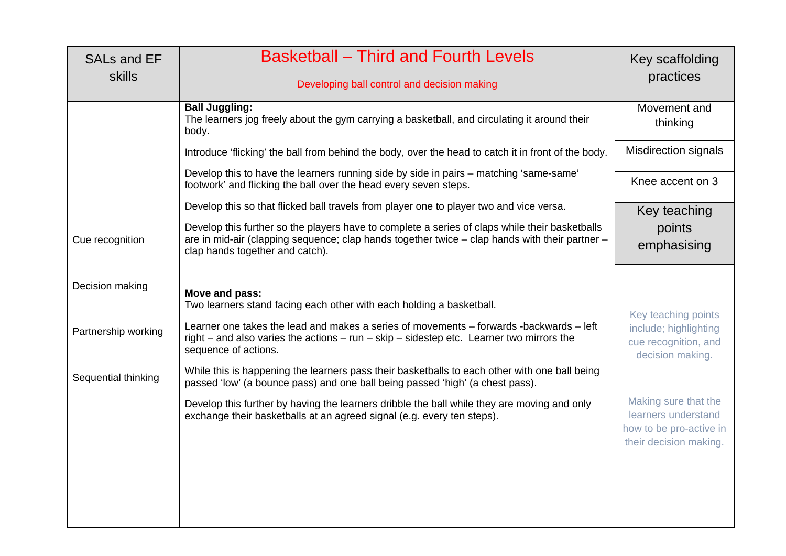| <b>SALs and EF</b><br>skills | <b>Basketball – Third and Fourth Levels</b><br>Developing ball control and decision making                                                                                                                                          | Key scaffolding<br>practices                                                                     |
|------------------------------|-------------------------------------------------------------------------------------------------------------------------------------------------------------------------------------------------------------------------------------|--------------------------------------------------------------------------------------------------|
|                              | <b>Ball Juggling:</b><br>The learners jog freely about the gym carrying a basketball, and circulating it around their<br>body.                                                                                                      | Movement and<br>thinking                                                                         |
|                              | Introduce 'flicking' the ball from behind the body, over the head to catch it in front of the body.                                                                                                                                 | <b>Misdirection signals</b>                                                                      |
|                              | Develop this to have the learners running side by side in pairs - matching 'same-same'<br>footwork' and flicking the ball over the head every seven steps.                                                                          | Knee accent on 3                                                                                 |
|                              | Develop this so that flicked ball travels from player one to player two and vice versa.                                                                                                                                             | Key teaching                                                                                     |
| Cue recognition              | Develop this further so the players have to complete a series of claps while their basketballs<br>are in mid-air (clapping sequence; clap hands together twice - clap hands with their partner -<br>clap hands together and catch). | points<br>emphasising                                                                            |
| Decision making              | Move and pass:<br>Two learners stand facing each other with each holding a basketball.                                                                                                                                              |                                                                                                  |
| Partnership working          | Learner one takes the lead and makes a series of movements – forwards -backwards – left<br>right – and also varies the actions – run – skip – sidestep etc. Learner two mirrors the<br>sequence of actions.                         | Key teaching points<br>include; highlighting<br>cue recognition, and<br>decision making.         |
| Sequential thinking          | While this is happening the learners pass their basketballs to each other with one ball being<br>passed 'low' (a bounce pass) and one ball being passed 'high' (a chest pass).                                                      |                                                                                                  |
|                              | Develop this further by having the learners dribble the ball while they are moving and only<br>exchange their basketballs at an agreed signal (e.g. every ten steps).                                                               | Making sure that the<br>learners understand<br>how to be pro-active in<br>their decision making. |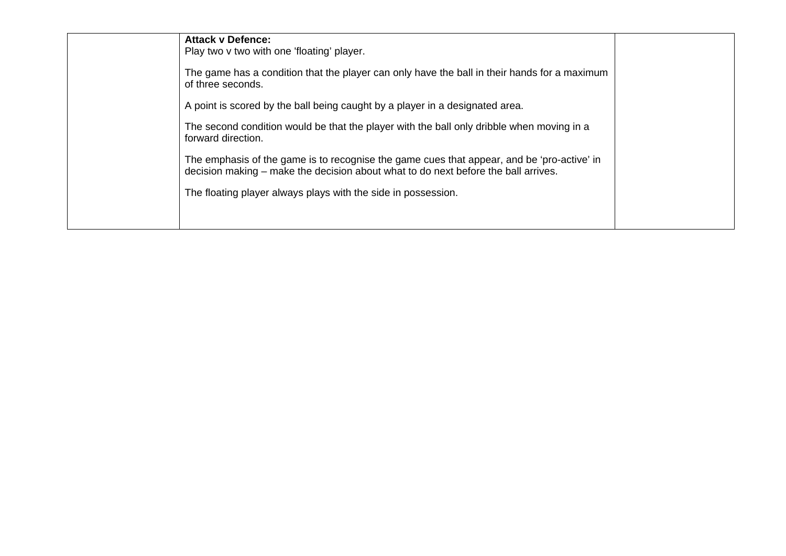| <b>Attack v Defence:</b><br>Play two v two with one 'floating' player.<br>The game has a condition that the player can only have the ball in their hands for a maximum<br>of three seconds.<br>A point is scored by the ball being caught by a player in a designated area.<br>The second condition would be that the player with the ball only dribble when moving in a<br>forward direction.<br>The emphasis of the game is to recognise the game cues that appear, and be 'pro-active' in |  |
|----------------------------------------------------------------------------------------------------------------------------------------------------------------------------------------------------------------------------------------------------------------------------------------------------------------------------------------------------------------------------------------------------------------------------------------------------------------------------------------------|--|
| decision making – make the decision about what to do next before the ball arrives.<br>The floating player always plays with the side in possession.                                                                                                                                                                                                                                                                                                                                          |  |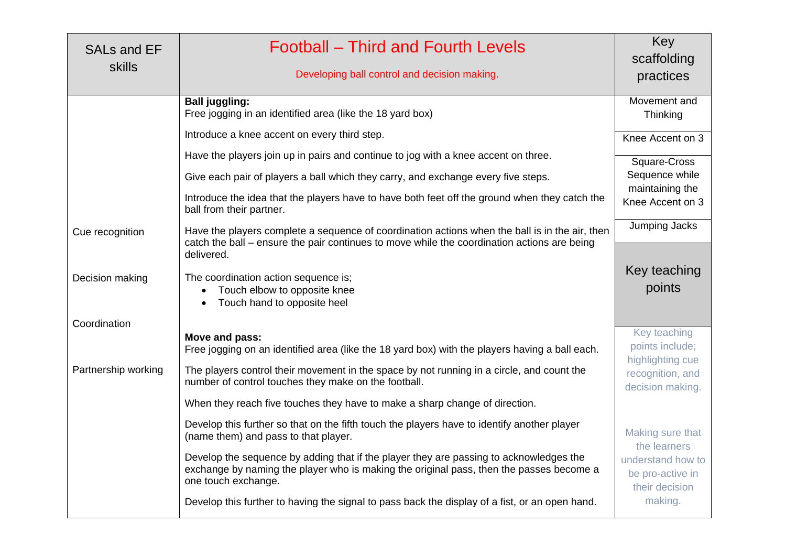| <b>SALs and EF</b><br><b>skills</b> | Football – Third and Fourth Levels<br>Developing ball control and decision making.                                                                                                                          | Key<br>scaffolding<br>practices                         |
|-------------------------------------|-------------------------------------------------------------------------------------------------------------------------------------------------------------------------------------------------------------|---------------------------------------------------------|
|                                     | <b>Ball juggling:</b><br>Free jogging in an identified area (like the 18 yard box)                                                                                                                          | Movement and<br>Thinking                                |
|                                     | Introduce a knee accent on every third step.                                                                                                                                                                | Knee Accent on 3                                        |
|                                     | Have the players join up in pairs and continue to jog with a knee accent on three.                                                                                                                          | Square-Cross                                            |
|                                     | Give each pair of players a ball which they carry, and exchange every five steps.                                                                                                                           | Sequence while                                          |
|                                     | Introduce the idea that the players have to have both feet off the ground when they catch the<br>ball from their partner.                                                                                   | maintaining the<br>Knee Accent on 3                     |
| Cue recognition                     | Have the players complete a sequence of coordination actions when the ball is in the air, then<br>catch the ball – ensure the pair continues to move while the coordination actions are being<br>delivered. | Jumping Jacks                                           |
| Decision making                     | The coordination action sequence is;<br>Touch elbow to opposite knee<br>Touch hand to opposite heel                                                                                                         | Key teaching<br>points                                  |
| Coordination                        | Move and pass:                                                                                                                                                                                              | Key teaching                                            |
|                                     | Free jogging on an identified area (like the 18 yard box) with the players having a ball each.                                                                                                              | points include;<br>highlighting cue                     |
| Partnership working                 | The players control their movement in the space by not running in a circle, and count the<br>number of control touches they make on the football.                                                           | recognition, and<br>decision making.                    |
|                                     | When they reach five touches they have to make a sharp change of direction.                                                                                                                                 |                                                         |
|                                     | Develop this further so that on the fifth touch the players have to identify another player<br>(name them) and pass to that player.                                                                         | Making sure that<br>the learners                        |
|                                     | Develop the sequence by adding that if the player they are passing to acknowledges the<br>exchange by naming the player who is making the original pass, then the passes become a<br>one touch exchange.    | understand how to<br>be pro-active in<br>their decision |
|                                     | Develop this further to having the signal to pass back the display of a fist, or an open hand.                                                                                                              | making.                                                 |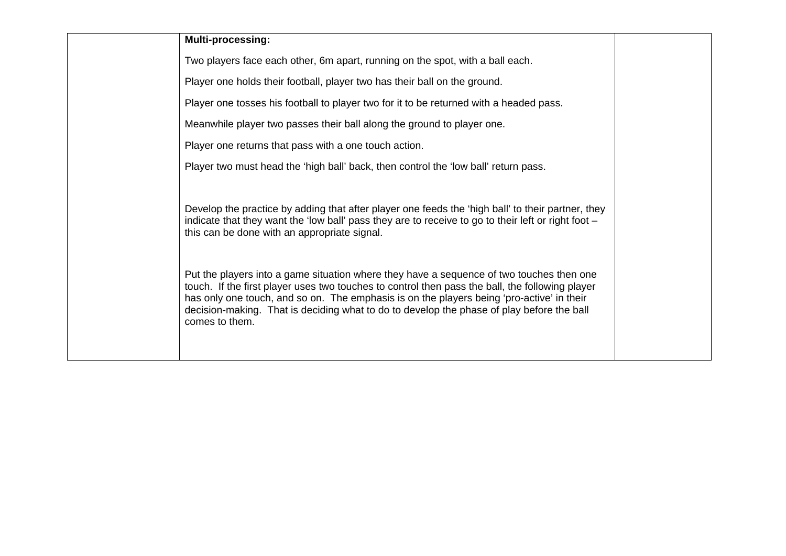#### **Multi-processing:**

Two players face each other, 6m apart, running on the spot, with a ball each.

Player one holds their football, player two has their ball on the ground.

Player one tosses his football to player two for it to be returned with a headed pass.

Meanwhile player two passes their ball along the ground to player one.

Player one returns that pass with a one touch action.

Player two must head the 'high ball' back, then control the 'low ball' return pass.

Develop the practice by adding that after player one feeds the 'high ball' to their partner, they indicate that they want the 'low ball' pass they are to receive to go to their left or right foot – this can be done with an appropriate signal.

Put the players into a game situation where they have a sequence of two touches then one touch. If the first player uses two touches to control then pass the ball, the following player has only one touch, and so on. The emphasis is on the players being 'pro-active' in their decision-making. That is deciding what to do to develop the phase of play before the ball comes to them.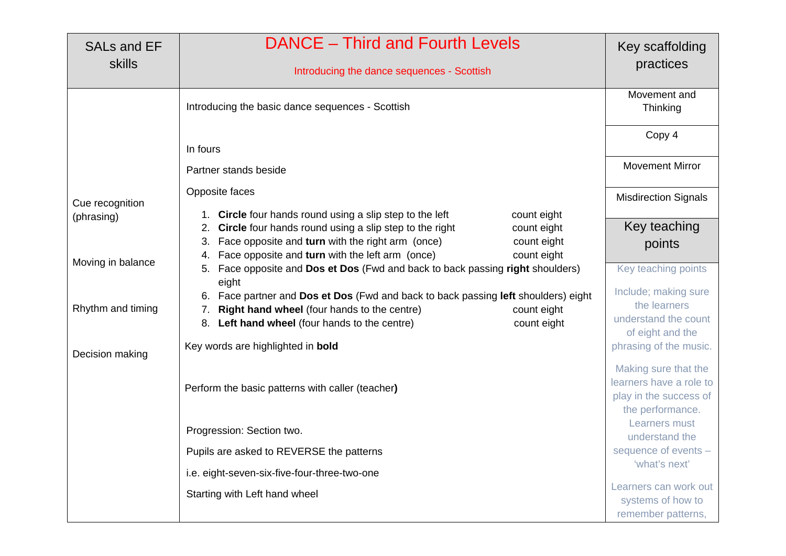| <b>SALs and EF</b> | <b>DANCE</b> – Third and Fourth Levels                                                                                                                                                                                                                                                         | Key scaffolding                                                                               |
|--------------------|------------------------------------------------------------------------------------------------------------------------------------------------------------------------------------------------------------------------------------------------------------------------------------------------|-----------------------------------------------------------------------------------------------|
| skills             | Introducing the dance sequences - Scottish                                                                                                                                                                                                                                                     | practices                                                                                     |
|                    | Introducing the basic dance sequences - Scottish                                                                                                                                                                                                                                               | Movement and<br>Thinking                                                                      |
|                    | In fours                                                                                                                                                                                                                                                                                       | Copy 4                                                                                        |
|                    | Partner stands beside                                                                                                                                                                                                                                                                          | <b>Movement Mirror</b>                                                                        |
| Cue recognition    | Opposite faces                                                                                                                                                                                                                                                                                 | <b>Misdirection Signals</b>                                                                   |
| (phrasing)         | 1. Circle four hands round using a slip step to the left<br>count eight<br>2. Circle four hands round using a slip step to the right<br>count eight<br>Face opposite and turn with the right arm (once)<br>count eight<br>Face opposite and turn with the left arm (once)<br>count eight<br>4. | Key teaching<br>points                                                                        |
| Moving in balance  | Face opposite and Dos et Dos (Fwd and back to back passing right shoulders)<br>5.<br>eight                                                                                                                                                                                                     | Key teaching points<br>Include; making sure                                                   |
| Rhythm and timing  | 6. Face partner and Dos et Dos (Fwd and back to back passing left shoulders) eight<br>Right hand wheel (four hands to the centre)<br>count eight<br>8. Left hand wheel (four hands to the centre)<br>count eight                                                                               | the learners<br>understand the count<br>of eight and the                                      |
| Decision making    | Key words are highlighted in bold                                                                                                                                                                                                                                                              | phrasing of the music.                                                                        |
|                    | Perform the basic patterns with caller (teacher)                                                                                                                                                                                                                                               | Making sure that the<br>learners have a role to<br>play in the success of<br>the performance. |
|                    | Progression: Section two.                                                                                                                                                                                                                                                                      | Learners must<br>understand the                                                               |
|                    | Pupils are asked to REVERSE the patterns                                                                                                                                                                                                                                                       | sequence of events -<br>'what's next'                                                         |
|                    | i.e. eight-seven-six-five-four-three-two-one                                                                                                                                                                                                                                                   |                                                                                               |
|                    | Starting with Left hand wheel                                                                                                                                                                                                                                                                  | Learners can work out<br>systems of how to<br>remember patterns,                              |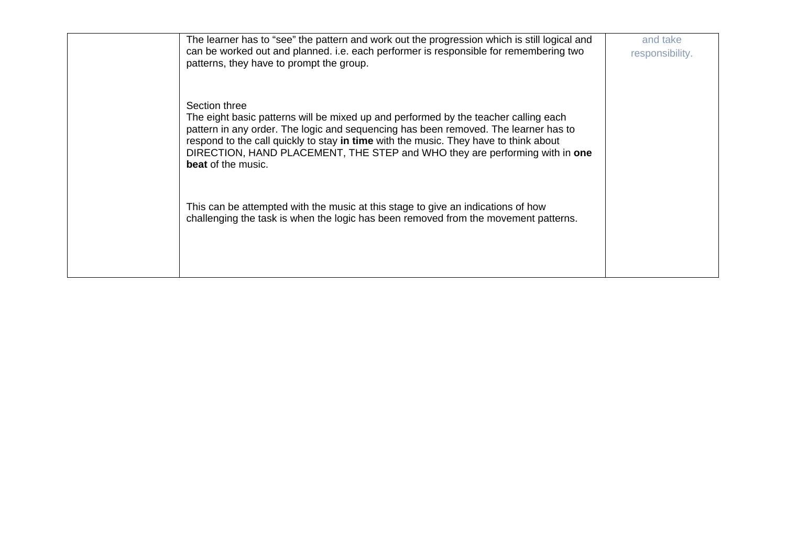| The learner has to "see" the pattern and work out the progression which is still logical and<br>can be worked out and planned. i.e. each performer is responsible for remembering two<br>patterns, they have to prompt the group.                                                                                                                                                               | and take<br>responsibility. |
|-------------------------------------------------------------------------------------------------------------------------------------------------------------------------------------------------------------------------------------------------------------------------------------------------------------------------------------------------------------------------------------------------|-----------------------------|
| Section three<br>The eight basic patterns will be mixed up and performed by the teacher calling each<br>pattern in any order. The logic and sequencing has been removed. The learner has to<br>respond to the call quickly to stay in time with the music. They have to think about<br>DIRECTION, HAND PLACEMENT, THE STEP and WHO they are performing with in one<br><b>beat</b> of the music. |                             |
| This can be attempted with the music at this stage to give an indications of how<br>challenging the task is when the logic has been removed from the movement patterns.                                                                                                                                                                                                                         |                             |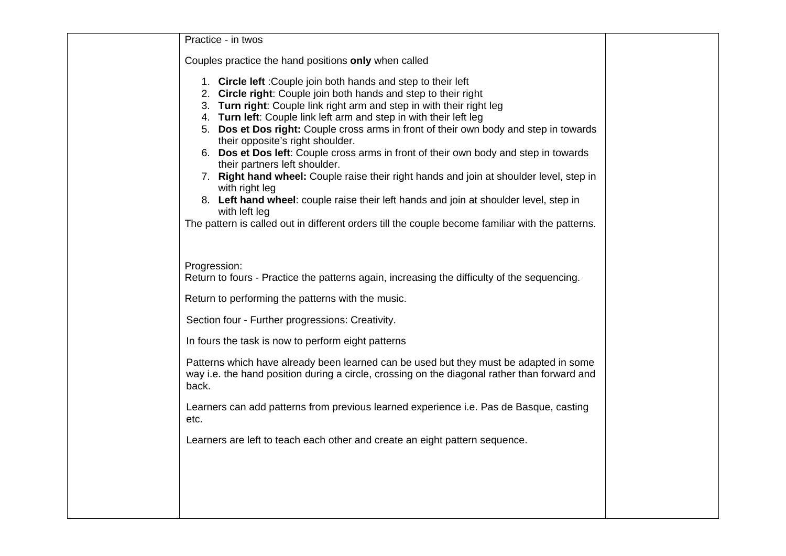| Practice - in twos                                                                                                                                                                                                                                                                                                                                                                                                                                                                                                                                                                                                                                                                                                                                                                                                                                               |  |
|------------------------------------------------------------------------------------------------------------------------------------------------------------------------------------------------------------------------------------------------------------------------------------------------------------------------------------------------------------------------------------------------------------------------------------------------------------------------------------------------------------------------------------------------------------------------------------------------------------------------------------------------------------------------------------------------------------------------------------------------------------------------------------------------------------------------------------------------------------------|--|
| Couples practice the hand positions only when called                                                                                                                                                                                                                                                                                                                                                                                                                                                                                                                                                                                                                                                                                                                                                                                                             |  |
| 1. Circle left: Couple join both hands and step to their left<br>2. Circle right: Couple join both hands and step to their right<br>3. Turn right: Couple link right arm and step in with their right leg<br>4. Turn left: Couple link left arm and step in with their left leg<br>5. Dos et Dos right: Couple cross arms in front of their own body and step in towards<br>their opposite's right shoulder.<br>6. Dos et Dos left: Couple cross arms in front of their own body and step in towards<br>their partners left shoulder.<br>7. Right hand wheel: Couple raise their right hands and join at shoulder level, step in<br>with right leg<br>8. Left hand wheel: couple raise their left hands and join at shoulder level, step in<br>with left leg<br>The pattern is called out in different orders till the couple become familiar with the patterns. |  |
| Progression:<br>Return to fours - Practice the patterns again, increasing the difficulty of the sequencing.                                                                                                                                                                                                                                                                                                                                                                                                                                                                                                                                                                                                                                                                                                                                                      |  |
| Return to performing the patterns with the music.                                                                                                                                                                                                                                                                                                                                                                                                                                                                                                                                                                                                                                                                                                                                                                                                                |  |
| Section four - Further progressions: Creativity.                                                                                                                                                                                                                                                                                                                                                                                                                                                                                                                                                                                                                                                                                                                                                                                                                 |  |
| In fours the task is now to perform eight patterns                                                                                                                                                                                                                                                                                                                                                                                                                                                                                                                                                                                                                                                                                                                                                                                                               |  |
| Patterns which have already been learned can be used but they must be adapted in some<br>way i.e. the hand position during a circle, crossing on the diagonal rather than forward and<br>back.                                                                                                                                                                                                                                                                                                                                                                                                                                                                                                                                                                                                                                                                   |  |
| Learners can add patterns from previous learned experience i.e. Pas de Basque, casting<br>etc.                                                                                                                                                                                                                                                                                                                                                                                                                                                                                                                                                                                                                                                                                                                                                                   |  |
| Learners are left to teach each other and create an eight pattern sequence.                                                                                                                                                                                                                                                                                                                                                                                                                                                                                                                                                                                                                                                                                                                                                                                      |  |
|                                                                                                                                                                                                                                                                                                                                                                                                                                                                                                                                                                                                                                                                                                                                                                                                                                                                  |  |
|                                                                                                                                                                                                                                                                                                                                                                                                                                                                                                                                                                                                                                                                                                                                                                                                                                                                  |  |
|                                                                                                                                                                                                                                                                                                                                                                                                                                                                                                                                                                                                                                                                                                                                                                                                                                                                  |  |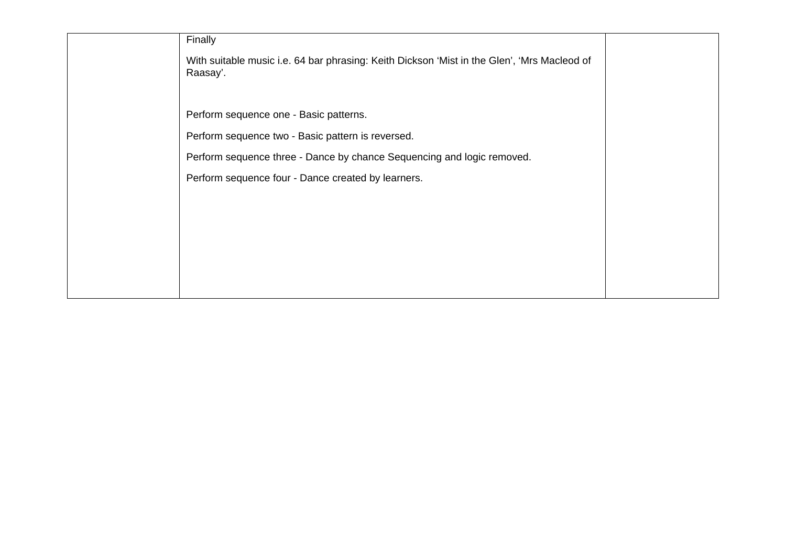| Finally                                                                                                 |  |
|---------------------------------------------------------------------------------------------------------|--|
| With suitable music i.e. 64 bar phrasing: Keith Dickson 'Mist in the Glen', 'Mrs Macleod of<br>Raasay'. |  |
|                                                                                                         |  |
| Perform sequence one - Basic patterns.                                                                  |  |
| Perform sequence two - Basic pattern is reversed.                                                       |  |
| Perform sequence three - Dance by chance Sequencing and logic removed.                                  |  |
| Perform sequence four - Dance created by learners.                                                      |  |
|                                                                                                         |  |
|                                                                                                         |  |
|                                                                                                         |  |
|                                                                                                         |  |
|                                                                                                         |  |
|                                                                                                         |  |